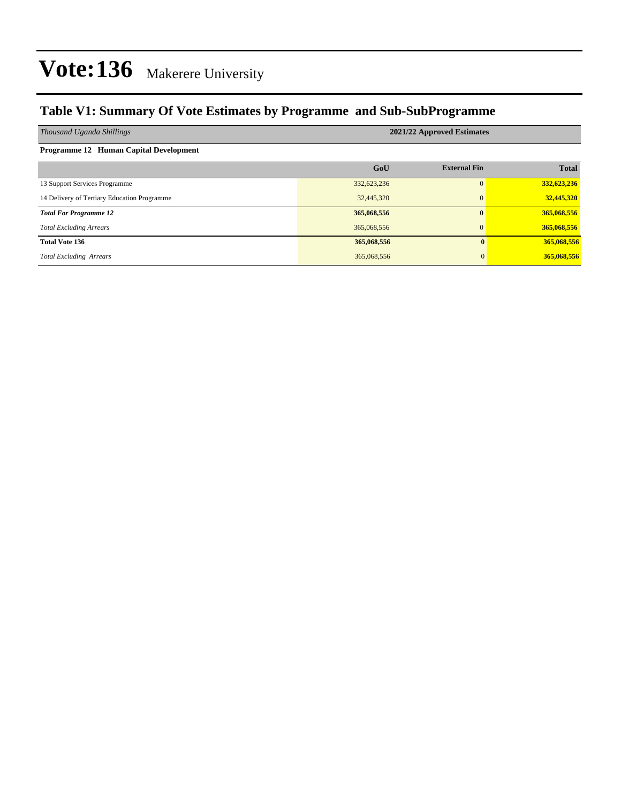#### **Table V1: Summary Of Vote Estimates by Programme and Sub-SubProgramme**

| Thousand Uganda Shillings                   | 2021/22 Approved Estimates |                     |              |  |  |  |  |  |
|---------------------------------------------|----------------------------|---------------------|--------------|--|--|--|--|--|
| Programme 12 Human Capital Development      |                            |                     |              |  |  |  |  |  |
|                                             | GoU                        | <b>External Fin</b> | <b>Total</b> |  |  |  |  |  |
| 13 Support Services Programme               | 332,623,236                | $\Omega$            | 332,623,236  |  |  |  |  |  |
| 14 Delivery of Tertiary Education Programme | 32,445,320                 | $\mathbf{0}$        | 32,445,320   |  |  |  |  |  |
| <b>Total For Programme 12</b>               | 365,068,556                | $\mathbf{0}$        | 365,068,556  |  |  |  |  |  |
| <b>Total Excluding Arrears</b>              | 365,068,556                | $\mathbf{0}$        | 365,068,556  |  |  |  |  |  |
| <b>Total Vote 136</b>                       | 365,068,556                | $\mathbf{0}$        | 365,068,556  |  |  |  |  |  |
| <b>Total Excluding Arrears</b>              | 365,068,556                | $\Omega$            | 365,068,556  |  |  |  |  |  |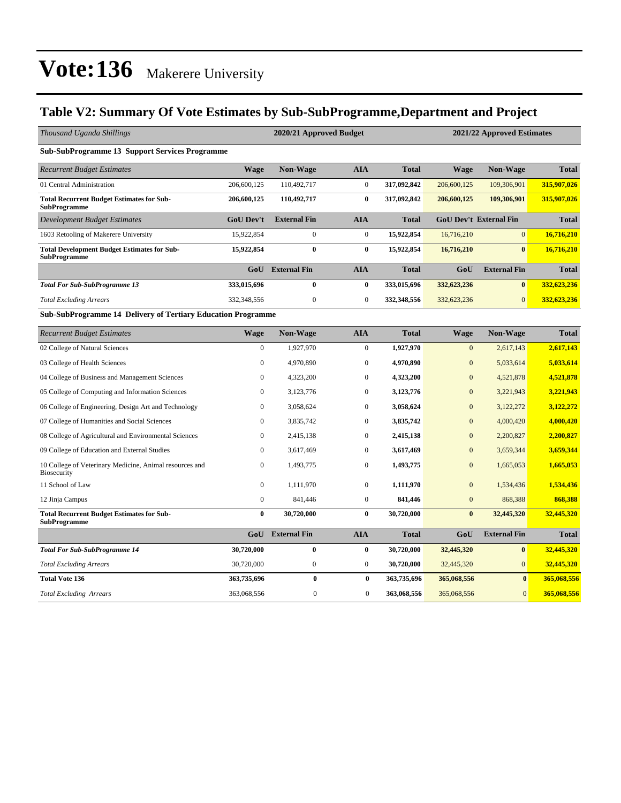**Total Recurrent Budget Estimates for Sub-**

**SubProgramme**

#### **Table V2: Summary Of Vote Estimates by Sub-SubProgramme,Department and Project**

| Thousand Uganda Shillings                                                 |                  | 2020/21 Approved Budget<br>2021/22 Approved Estimates |                  |              |                |                               |              |  |
|---------------------------------------------------------------------------|------------------|-------------------------------------------------------|------------------|--------------|----------------|-------------------------------|--------------|--|
| <b>Sub-SubProgramme 13 Support Services Programme</b>                     |                  |                                                       |                  |              |                |                               |              |  |
| <b>Recurrent Budget Estimates</b>                                         | <b>Wage</b>      | Non-Wage                                              | <b>AIA</b>       | <b>Total</b> | <b>Wage</b>    | Non-Wage                      | <b>Total</b> |  |
| 01 Central Administration                                                 | 206,600,125      | 110,492,717                                           | $\overline{0}$   | 317,092,842  | 206,600,125    | 109,306,901                   | 315,907,026  |  |
| <b>Total Recurrent Budget Estimates for Sub-</b><br><b>SubProgramme</b>   | 206,600,125      | 110,492,717                                           | $\bf{0}$         | 317,092,842  | 206,600,125    | 109,306,901                   | 315,907,026  |  |
| <b>Development Budget Estimates</b>                                       | <b>GoU Dev't</b> | <b>External Fin</b>                                   | <b>AIA</b>       | <b>Total</b> |                | <b>GoU Dev't External Fin</b> | <b>Total</b> |  |
| 1603 Retooling of Makerere University                                     | 15,922,854       | $\mathbf{0}$                                          | $\mathbf{0}$     | 15,922,854   | 16,716,210     | $\overline{0}$                | 16,716,210   |  |
| <b>Total Development Budget Estimates for Sub-</b><br><b>SubProgramme</b> | 15,922,854       | $\bf{0}$                                              | $\bf{0}$         | 15,922,854   | 16,716,210     | $\mathbf{0}$                  | 16,716,210   |  |
|                                                                           | GoU              | <b>External Fin</b>                                   | <b>AIA</b>       | <b>Total</b> | GoU            | <b>External Fin</b>           | <b>Total</b> |  |
| <b>Total For Sub-SubProgramme 13</b>                                      | 333,015,696      | $\bf{0}$                                              | $\bf{0}$         | 333,015,696  | 332,623,236    | $\mathbf{0}$                  | 332,623,236  |  |
| <b>Total Excluding Arrears</b>                                            | 332,348,556      | $\boldsymbol{0}$                                      | $\boldsymbol{0}$ | 332,348,556  | 332,623,236    | $\overline{0}$                | 332,623,236  |  |
| <b>Sub-SubProgramme 14 Delivery of Tertiary Education Programme</b>       |                  |                                                       |                  |              |                |                               |              |  |
| <b>Recurrent Budget Estimates</b>                                         | <b>Wage</b>      | Non-Wage                                              | <b>AIA</b>       | <b>Total</b> | <b>Wage</b>    | Non-Wage                      | <b>Total</b> |  |
| 02 College of Natural Sciences                                            | $\Omega$         | 1,927,970                                             | $\overline{0}$   | 1,927,970    | $\overline{0}$ | 2,617,143                     | 2,617,143    |  |
| 03 College of Health Sciences                                             | 0                | 4,970,890                                             | $\boldsymbol{0}$ | 4,970,890    | $\mathbf{0}$   | 5,033,614                     | 5,033,614    |  |
| 04 College of Business and Management Sciences                            | $\Omega$         | 4,323,200                                             | $\mathbf{0}$     | 4,323,200    | $\overline{0}$ | 4,521,878                     | 4,521,878    |  |
| 05 College of Computing and Information Sciences                          | $\Omega$         | 3,123,776                                             | $\mathbf{0}$     | 3,123,776    | $\overline{0}$ | 3,221,943                     | 3,221,943    |  |
| 06 College of Engineering, Design Art and Technology                      | $\Omega$         | 3,058,624                                             | $\mathbf{0}$     | 3,058,624    | $\mathbf{0}$   | 3,122,272                     | 3,122,272    |  |
| 07 College of Humanities and Social Sciences                              | $\Omega$         | 3,835,742                                             | $\mathbf{0}$     | 3,835,742    | $\mathbf{0}$   | 4,000,420                     | 4,000,420    |  |
| 08 College of Agricultural and Environmental Sciences                     | $\Omega$         | 2,415,138                                             | $\mathbf{0}$     | 2,415,138    | $\overline{0}$ | 2,200,827                     | 2,200,827    |  |
| 09 College of Education and External Studies                              | 0                | 3,617,469                                             | $\mathbf{0}$     | 3,617,469    | $\mathbf{0}$   | 3,659,344                     | 3,659,344    |  |
| 10 College of Veterinary Medicine, Animal resources and<br>Biosecurity    | 0                | 1,493,775                                             | $\mathbf{0}$     | 1,493,775    | $\overline{0}$ | 1,665,053                     | 1,665,053    |  |

11 School of Law 0 1,111,970 0 **1,111,970** 0 1,534,436 **1,534,436** 12 Jinja Campus 0 841,446 0 **841,446** 0 868,388 **868,388**

*Total For Sub-SubProgramme 14* **30,720,000 0 0 30,720,000 32,445,320 0 32,445,320 Total Excluding Arrears** 30,720,000 0 0 30,720,000 0 32,445,320 0 32,445,320 **Total Vote 136 363,735,696 0 0 363,735,696 365,068,556 0 365,068,556 Total Excluding Arrears** 363,068,556 363,068,556 363,068,556 365,068,556 365,068,556 365,068,556 0 **365,068,556** 

**0 30,720,000 0 30,720,000 0 32,445,320 32,445,320**

**GoU External Fin AIA Total GoU External Fin Total**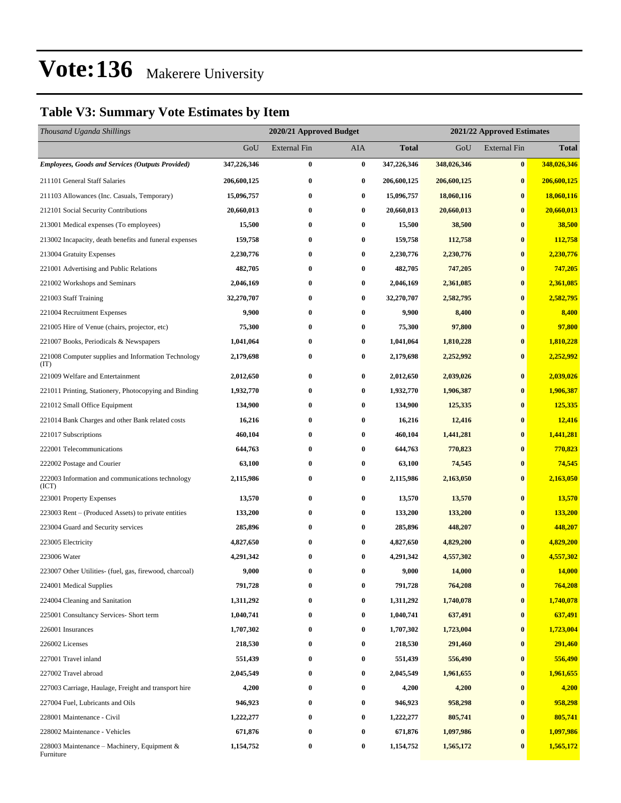#### **Table V3: Summary Vote Estimates by Item**

| Thousand Uganda Shillings                                   |             |                     | 2020/21 Approved Budget<br>2021/22 Approved Estimates |              |             |                     |              |
|-------------------------------------------------------------|-------------|---------------------|-------------------------------------------------------|--------------|-------------|---------------------|--------------|
|                                                             | GoU         | <b>External Fin</b> | <b>AIA</b>                                            | <b>Total</b> | GoU         | <b>External Fin</b> | <b>Total</b> |
| <b>Employees, Goods and Services (Outputs Provided)</b>     | 347,226,346 | $\bf{0}$            | $\bf{0}$                                              | 347,226,346  | 348,026,346 | $\bf{0}$            | 348,026,346  |
| 211101 General Staff Salaries                               | 206,600,125 | $\bf{0}$            | $\bf{0}$                                              | 206,600,125  | 206,600,125 | $\bf{0}$            | 206,600,125  |
| 211103 Allowances (Inc. Casuals, Temporary)                 | 15,096,757  | $\bf{0}$            | $\bf{0}$                                              | 15,096,757   | 18,060,116  | $\bf{0}$            | 18,060,116   |
| 212101 Social Security Contributions                        | 20,660,013  | $\bf{0}$            | $\bf{0}$                                              | 20,660,013   | 20,660,013  | $\bf{0}$            | 20,660,013   |
| 213001 Medical expenses (To employees)                      | 15,500      | $\bf{0}$            | $\bf{0}$                                              | 15,500       | 38,500      | $\bf{0}$            | 38,500       |
| 213002 Incapacity, death benefits and funeral expenses      | 159,758     | $\bf{0}$            | $\bf{0}$                                              | 159,758      | 112,758     | $\bf{0}$            | 112,758      |
| 213004 Gratuity Expenses                                    | 2,230,776   | $\bf{0}$            | $\bf{0}$                                              | 2,230,776    | 2,230,776   | $\bf{0}$            | 2,230,776    |
| 221001 Advertising and Public Relations                     | 482,705     | $\bf{0}$            | $\bf{0}$                                              | 482,705      | 747,205     | $\bf{0}$            | 747,205      |
| 221002 Workshops and Seminars                               | 2,046,169   | $\bf{0}$            | $\bf{0}$                                              | 2,046,169    | 2,361,085   | $\bf{0}$            | 2,361,085    |
| 221003 Staff Training                                       | 32,270,707  | $\bf{0}$            | $\bf{0}$                                              | 32,270,707   | 2,582,795   | $\bf{0}$            | 2,582,795    |
| 221004 Recruitment Expenses                                 | 9,900       | $\bf{0}$            | $\bf{0}$                                              | 9,900        | 8,400       | $\bf{0}$            | 8,400        |
| 221005 Hire of Venue (chairs, projector, etc)               | 75,300      | $\bf{0}$            | $\bf{0}$                                              | 75,300       | 97,800      | $\bf{0}$            | 97,800       |
| 221007 Books, Periodicals & Newspapers                      | 1,041,064   | 0                   | $\bf{0}$                                              | 1,041,064    | 1,810,228   | $\bf{0}$            | 1,810,228    |
| 221008 Computer supplies and Information Technology<br>(TT) | 2,179,698   | $\bf{0}$            | $\bf{0}$                                              | 2,179,698    | 2,252,992   | $\bf{0}$            | 2,252,992    |
| 221009 Welfare and Entertainment                            | 2,012,650   | $\bf{0}$            | $\bf{0}$                                              | 2,012,650    | 2,039,026   | $\bf{0}$            | 2,039,026    |
| 221011 Printing, Stationery, Photocopying and Binding       | 1,932,770   | 0                   | $\bf{0}$                                              | 1,932,770    | 1,906,387   | $\bf{0}$            | 1,906,387    |
| 221012 Small Office Equipment                               | 134,900     | $\bf{0}$            | $\bf{0}$                                              | 134,900      | 125,335     | $\bf{0}$            | 125,335      |
| 221014 Bank Charges and other Bank related costs            | 16,216      | $\bf{0}$            | $\bf{0}$                                              | 16,216       | 12,416      | $\bf{0}$            | 12,416       |
| 221017 Subscriptions                                        | 460,104     | $\bf{0}$            | $\bf{0}$                                              | 460,104      | 1,441,281   | $\bf{0}$            | 1,441,281    |
| 222001 Telecommunications                                   | 644,763     | $\bf{0}$            | $\bf{0}$                                              | 644,763      | 770,823     | $\bf{0}$            | 770,823      |
| 222002 Postage and Courier                                  | 63,100      | 0                   | $\bf{0}$                                              | 63,100       | 74,545      | $\bf{0}$            | 74,545       |
| 222003 Information and communications technology<br>(ICT)   | 2,115,986   | $\bf{0}$            | $\bf{0}$                                              | 2,115,986    | 2,163,050   | $\bf{0}$            | 2,163,050    |
| 223001 Property Expenses                                    | 13,570      | $\bf{0}$            | $\bf{0}$                                              | 13,570       | 13,570      | $\bf{0}$            | 13,570       |
| 223003 Rent – (Produced Assets) to private entities         | 133,200     | 0                   | $\bf{0}$                                              | 133,200      | 133,200     | $\bf{0}$            | 133,200      |
| 223004 Guard and Security services                          | 285,896     | 0                   | $\bf{0}$                                              | 285,896      | 448,207     | $\bf{0}$            | 448,207      |
| 223005 Electricity                                          | 4,827,650   | $\bf{0}$            | $\bf{0}$                                              | 4,827,650    | 4,829,200   | $\bf{0}$            | 4,829,200    |
| 223006 Water                                                | 4,291,342   | 0                   | $\bf{0}$                                              | 4,291,342    | 4,557,302   | $\mathbf 0$         | 4,557,302    |
| 223007 Other Utilities- (fuel, gas, firewood, charcoal)     | 9,000       | $\bf{0}$            | $\bf{0}$                                              | 9,000        | 14,000      | $\bf{0}$            | 14,000       |
| 224001 Medical Supplies                                     | 791,728     | 0                   | $\bf{0}$                                              | 791,728      | 764,208     | $\bf{0}$            | 764,208      |
| 224004 Cleaning and Sanitation                              | 1,311,292   | 0                   | $\bf{0}$                                              | 1,311,292    | 1,740,078   | $\bf{0}$            | 1,740,078    |
| 225001 Consultancy Services- Short term                     | 1,040,741   | $\bf{0}$            | $\bf{0}$                                              | 1,040,741    | 637,491     | $\bf{0}$            | 637,491      |
| 226001 Insurances                                           | 1,707,302   | 0                   | $\bf{0}$                                              | 1,707,302    | 1,723,004   | $\bf{0}$            | 1,723,004    |
| 226002 Licenses                                             | 218,530     | $\bf{0}$            | $\bf{0}$                                              | 218,530      | 291,460     | $\bf{0}$            | 291,460      |
| 227001 Travel inland                                        | 551,439     | $\bf{0}$            | $\bf{0}$                                              | 551,439      | 556,490     | $\bf{0}$            | 556,490      |
| 227002 Travel abroad                                        | 2,045,549   | 0                   | $\bf{0}$                                              | 2,045,549    | 1,961,655   | $\bf{0}$            | 1,961,655    |
| 227003 Carriage, Haulage, Freight and transport hire        | 4,200       | $\bf{0}$            | $\bf{0}$                                              | 4,200        | 4,200       | $\bf{0}$            | 4,200        |
| 227004 Fuel, Lubricants and Oils                            | 946,923     | 0                   | $\bf{0}$                                              | 946,923      | 958,298     | $\bf{0}$            | 958,298      |
| 228001 Maintenance - Civil                                  | 1,222,277   | $\bf{0}$            | $\bf{0}$                                              | 1,222,277    | 805,741     | $\bf{0}$            | 805,741      |
| 228002 Maintenance - Vehicles                               | 671,876     | 0                   | $\bf{0}$                                              | 671,876      | 1,097,986   | $\bf{0}$            | 1,097,986    |
| 228003 Maintenance – Machinery, Equipment &<br>Furniture    | 1,154,752   | $\bf{0}$            | $\bf{0}$                                              | 1,154,752    | 1,565,172   | $\bf{0}$            | 1,565,172    |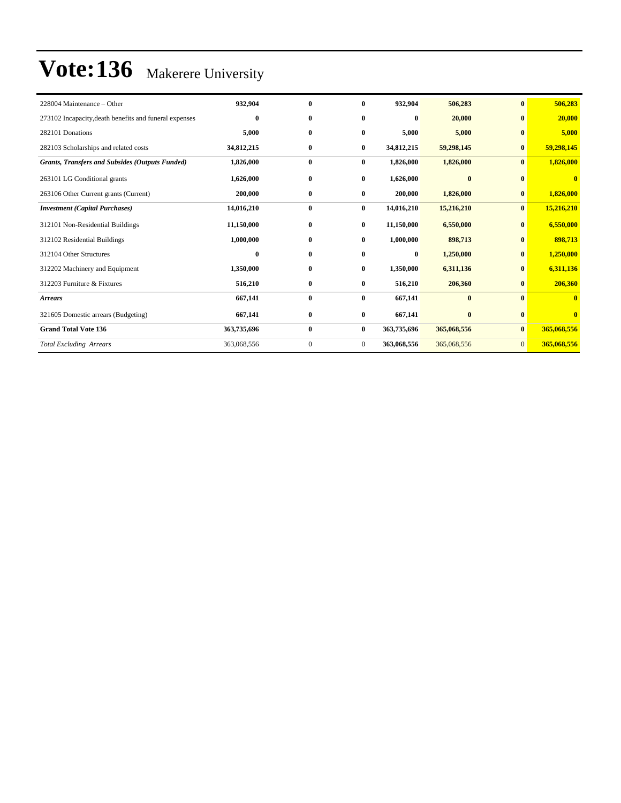| 228004 Maintenance – Other                             | 932,904          | $\bf{0}$     | $\mathbf{0}$   | 932,904     | 506,283      | $\bf{0}$       | 506,283                 |
|--------------------------------------------------------|------------------|--------------|----------------|-------------|--------------|----------------|-------------------------|
| 273102 Incapacity, death benefits and funeral expenses | $\bf{0}$         | $\bf{0}$     | 0              | $\bf{0}$    | 20,000       | $\mathbf{0}$   | 20,000                  |
| 282101 Donations                                       | 5,000            | $\bf{0}$     | $\bf{0}$       | 5,000       | 5,000        | $\mathbf{0}$   | 5,000                   |
| 282103 Scholarships and related costs                  | 34,812,215       | $\bf{0}$     | $\bf{0}$       | 34,812,215  | 59,298,145   | $\bf{0}$       | 59,298,145              |
| <b>Grants, Transfers and Subsides (Outputs Funded)</b> | 1,826,000        | $\bf{0}$     | $\bf{0}$       | 1,826,000   | 1,826,000    | $\bf{0}$       | 1,826,000               |
| 263101 LG Conditional grants                           | 1,626,000        | $\bf{0}$     | $\bf{0}$       | 1,626,000   | $\mathbf{0}$ | $\mathbf{0}$   | $\bf{0}$                |
| 263106 Other Current grants (Current)                  | 200,000          | $\bf{0}$     | $\bf{0}$       | 200,000     | 1,826,000    | $\bf{0}$       | 1,826,000               |
| <b>Investment</b> (Capital Purchases)                  | 14,016,210       | $\bf{0}$     | $\bf{0}$       | 14,016,210  | 15,216,210   | $\mathbf{0}$   | 15,216,210              |
| 312101 Non-Residential Buildings                       | 11,150,000       | $\bf{0}$     | $\bf{0}$       | 11,150,000  | 6,550,000    | $\bf{0}$       | 6,550,000               |
| 312102 Residential Buildings                           | 1,000,000        | $\bf{0}$     | $\bf{0}$       | 1,000,000   | 898,713      | $\bf{0}$       | 898,713                 |
| 312104 Other Structures                                | $\boldsymbol{0}$ | $\bf{0}$     | $\bf{0}$       | $\bf{0}$    | 1,250,000    | $\bf{0}$       | 1,250,000               |
| 312202 Machinery and Equipment                         | 1,350,000        | $\bf{0}$     | $\bf{0}$       | 1,350,000   | 6,311,136    | $\bf{0}$       | 6,311,136               |
| 312203 Furniture & Fixtures                            | 516,210          | $\bf{0}$     | $\bf{0}$       | 516,210     | 206,360      | $\bf{0}$       | 206,360                 |
| <b>Arrears</b>                                         | 667,141          | $\bf{0}$     | $\bf{0}$       | 667,141     | $\bf{0}$     | $\mathbf{0}$   | $\overline{\mathbf{0}}$ |
| 321605 Domestic arrears (Budgeting)                    | 667,141          | $\bf{0}$     | $\bf{0}$       | 667,141     | $\bf{0}$     | $\bf{0}$       | $\bf{0}$                |
| <b>Grand Total Vote 136</b>                            | 363,735,696      | $\bf{0}$     | $\bf{0}$       | 363,735,696 | 365,068,556  | $\mathbf{0}$   | 365,068,556             |
| <b>Total Excluding Arrears</b>                         | 363,068,556      | $\mathbf{0}$ | $\overline{0}$ | 363,068,556 | 365,068,556  | $\overline{0}$ | 365,068,556             |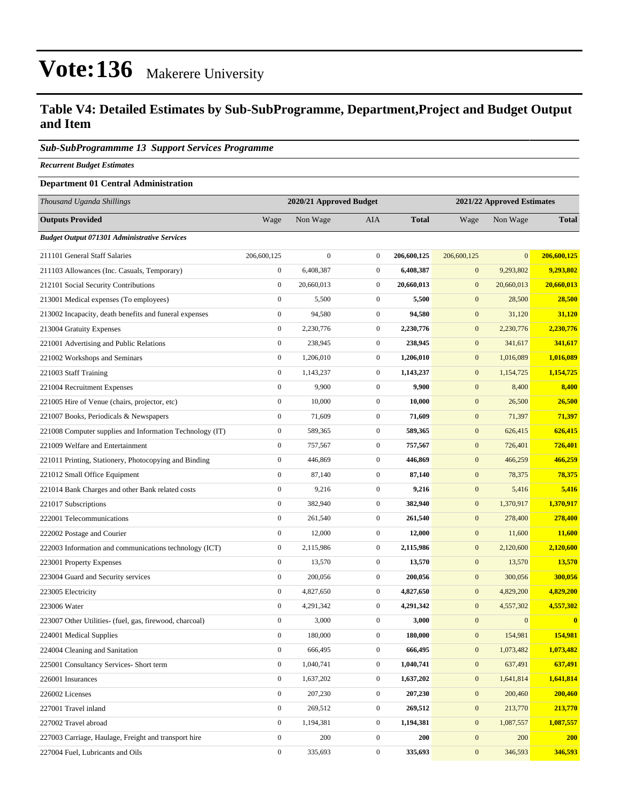#### **Table V4: Detailed Estimates by Sub-SubProgramme, Department,Project and Budget Output and Item**

#### *Sub-SubProgrammme 13 Support Services Programme*

*Recurrent Budget Estimates*

#### **Department 01 Central Administration**

| Thousand Uganda Shillings                                |                  | 2020/21 Approved Budget |                  |              |                  | 2021/22 Approved Estimates |              |
|----------------------------------------------------------|------------------|-------------------------|------------------|--------------|------------------|----------------------------|--------------|
| <b>Outputs Provided</b>                                  | Wage             | Non Wage                | AIA              | <b>Total</b> | Wage             | Non Wage                   | <b>Total</b> |
| <b>Budget Output 071301 Administrative Services</b>      |                  |                         |                  |              |                  |                            |              |
| 211101 General Staff Salaries                            | 206,600,125      | $\boldsymbol{0}$        | $\overline{0}$   | 206,600,125  | 206,600,125      | $\mathbf{0}$               | 206,600,125  |
| 211103 Allowances (Inc. Casuals, Temporary)              | $\boldsymbol{0}$ | 6,408,387               | $\mathbf{0}$     | 6,408,387    | $\mathbf{0}$     | 9,293,802                  | 9,293,802    |
| 212101 Social Security Contributions                     | $\boldsymbol{0}$ | 20,660,013              | $\mathbf{0}$     | 20,660,013   | $\mathbf{0}$     | 20,660,013                 | 20,660,013   |
| 213001 Medical expenses (To employees)                   | $\boldsymbol{0}$ | 5,500                   | $\mathbf{0}$     | 5,500        | $\mathbf{0}$     | 28,500                     | 28,500       |
| 213002 Incapacity, death benefits and funeral expenses   | $\boldsymbol{0}$ | 94,580                  | $\mathbf{0}$     | 94,580       | $\mathbf{0}$     | 31,120                     | 31,120       |
| 213004 Gratuity Expenses                                 | $\boldsymbol{0}$ | 2,230,776               | $\overline{0}$   | 2,230,776    | $\mathbf{0}$     | 2,230,776                  | 2,230,776    |
| 221001 Advertising and Public Relations                  | $\boldsymbol{0}$ | 238,945                 | $\overline{0}$   | 238,945      | $\mathbf{0}$     | 341,617                    | 341,617      |
| 221002 Workshops and Seminars                            | $\boldsymbol{0}$ | 1,206,010               | $\mathbf{0}$     | 1,206,010    | $\mathbf{0}$     | 1,016,089                  | 1,016,089    |
| 221003 Staff Training                                    | $\boldsymbol{0}$ | 1,143,237               | $\mathbf{0}$     | 1,143,237    | $\mathbf{0}$     | 1,154,725                  | 1,154,725    |
| 221004 Recruitment Expenses                              | $\boldsymbol{0}$ | 9,900                   | $\mathbf{0}$     | 9,900        | $\mathbf{0}$     | 8,400                      | 8,400        |
| 221005 Hire of Venue (chairs, projector, etc)            | $\boldsymbol{0}$ | 10,000                  | $\overline{0}$   | 10,000       | $\mathbf{0}$     | 26,500                     | 26,500       |
| 221007 Books, Periodicals & Newspapers                   | $\boldsymbol{0}$ | 71,609                  | $\overline{0}$   | 71,609       | $\mathbf{0}$     | 71,397                     | 71,397       |
| 221008 Computer supplies and Information Technology (IT) | $\boldsymbol{0}$ | 589,365                 | $\mathbf{0}$     | 589,365      | $\mathbf{0}$     | 626,415                    | 626,415      |
| 221009 Welfare and Entertainment                         | $\boldsymbol{0}$ | 757,567                 | $\mathbf{0}$     | 757,567      | $\mathbf{0}$     | 726,401                    | 726,401      |
| 221011 Printing, Stationery, Photocopying and Binding    | $\boldsymbol{0}$ | 446,869                 | $\mathbf{0}$     | 446,869      | $\mathbf{0}$     | 466,259                    | 466,259      |
| 221012 Small Office Equipment                            | $\boldsymbol{0}$ | 87,140                  | $\mathbf{0}$     | 87,140       | $\mathbf{0}$     | 78,375                     | 78,375       |
| 221014 Bank Charges and other Bank related costs         | $\boldsymbol{0}$ | 9,216                   | $\overline{0}$   | 9,216        | $\mathbf{0}$     | 5,416                      | 5,416        |
| 221017 Subscriptions                                     | $\boldsymbol{0}$ | 382,940                 | $\mathbf{0}$     | 382,940      | $\mathbf{0}$     | 1,370,917                  | 1,370,917    |
| 222001 Telecommunications                                | $\boldsymbol{0}$ | 261,540                 | $\mathbf{0}$     | 261,540      | $\mathbf{0}$     | 278,400                    | 278,400      |
| 222002 Postage and Courier                               | $\boldsymbol{0}$ | 12,000                  | $\mathbf{0}$     | 12,000       | $\mathbf{0}$     | 11,600                     | 11,600       |
| 222003 Information and communications technology (ICT)   | $\boldsymbol{0}$ | 2,115,986               | $\overline{0}$   | 2,115,986    | $\mathbf{0}$     | 2,120,600                  | 2,120,600    |
| 223001 Property Expenses                                 | $\boldsymbol{0}$ | 13,570                  | $\mathbf{0}$     | 13,570       | $\mathbf{0}$     | 13,570                     | 13,570       |
| 223004 Guard and Security services                       | $\boldsymbol{0}$ | 200,056                 | $\mathbf{0}$     | 200,056      | $\mathbf{0}$     | 300,056                    | 300,056      |
| 223005 Electricity                                       | $\boldsymbol{0}$ | 4,827,650               | $\boldsymbol{0}$ | 4,827,650    | $\mathbf{0}$     | 4,829,200                  | 4,829,200    |
| 223006 Water                                             | $\boldsymbol{0}$ | 4,291,342               | $\mathbf{0}$     | 4,291,342    | $\mathbf{0}$     | 4,557,302                  | 4,557,302    |
| 223007 Other Utilities- (fuel, gas, firewood, charcoal)  | $\boldsymbol{0}$ | 3,000                   | $\mathbf{0}$     | 3,000        | $\mathbf{0}$     | $\mathbf{0}$               | $\bf{0}$     |
| 224001 Medical Supplies                                  | $\boldsymbol{0}$ | 180,000                 | $\mathbf{0}$     | 180,000      | $\mathbf{0}$     | 154,981                    | 154,981      |
| 224004 Cleaning and Sanitation                           | $\boldsymbol{0}$ | 666,495                 | $\boldsymbol{0}$ | 666,495      | $\boldsymbol{0}$ | 1,073,482                  | 1,073,482    |
| 225001 Consultancy Services- Short term                  | $\boldsymbol{0}$ | 1,040,741               | $\overline{0}$   | 1,040,741    | $\mathbf{0}$     | 637,491                    | 637,491      |
| 226001 Insurances                                        | $\boldsymbol{0}$ | 1,637,202               | $\boldsymbol{0}$ | 1,637,202    | $\mathbf{0}$     | 1,641,814                  | 1,641,814    |
| 226002 Licenses                                          | $\boldsymbol{0}$ | 207,230                 | $\boldsymbol{0}$ | 207,230      | $\boldsymbol{0}$ | 200,460                    | 200,460      |
| 227001 Travel inland                                     | $\boldsymbol{0}$ | 269,512                 | $\boldsymbol{0}$ | 269,512      | $\boldsymbol{0}$ | 213,770                    | 213,770      |
| 227002 Travel abroad                                     | $\boldsymbol{0}$ | 1,194,381               | $\boldsymbol{0}$ | 1,194,381    | $\mathbf{0}$     | 1,087,557                  | 1,087,557    |
| 227003 Carriage, Haulage, Freight and transport hire     | $\mathbf{0}$     | 200                     | $\boldsymbol{0}$ | 200          | $\mathbf{0}$     | 200                        | <b>200</b>   |
| 227004 Fuel, Lubricants and Oils                         | $\boldsymbol{0}$ | 335,693                 | $\boldsymbol{0}$ | 335,693      | $\boldsymbol{0}$ | 346,593                    | 346,593      |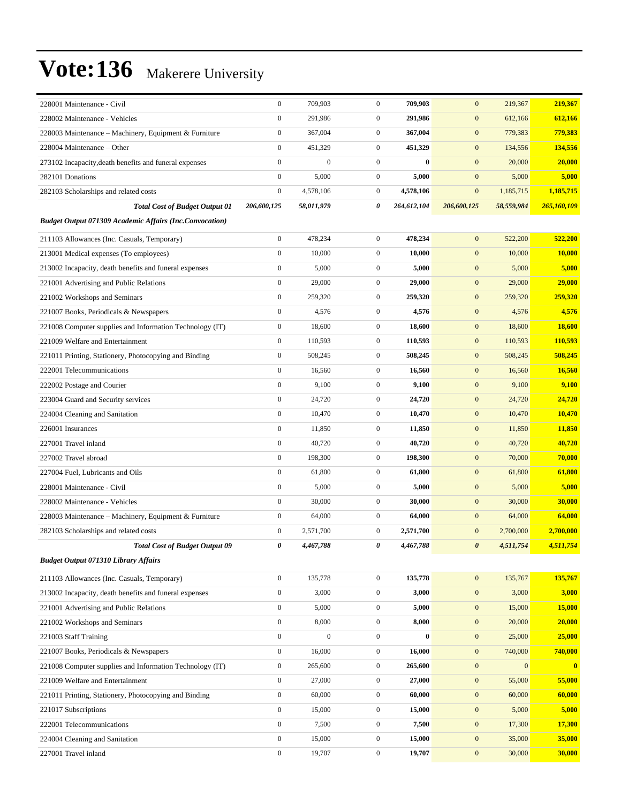| 228001 Maintenance - Civil                                     | $\boldsymbol{0}$ | 709,903          | $\mathbf{0}$     | 709,903     | $\mathbf{0}$          | 219,367      | 219,367      |
|----------------------------------------------------------------|------------------|------------------|------------------|-------------|-----------------------|--------------|--------------|
| 228002 Maintenance - Vehicles                                  | $\boldsymbol{0}$ | 291,986          | $\boldsymbol{0}$ | 291,986     | $\mathbf{0}$          | 612,166      | 612,166      |
| 228003 Maintenance – Machinery, Equipment & Furniture          | $\boldsymbol{0}$ | 367,004          | $\overline{0}$   | 367,004     | $\boldsymbol{0}$      | 779,383      | 779,383      |
| 228004 Maintenance – Other                                     | $\boldsymbol{0}$ | 451,329          | $\mathbf{0}$     | 451,329     | $\mathbf{0}$          | 134,556      | 134,556      |
| 273102 Incapacity, death benefits and funeral expenses         | $\boldsymbol{0}$ | $\overline{0}$   | $\mathbf{0}$     | $\bf{0}$    | $\mathbf{0}$          | 20,000       | 20,000       |
| 282101 Donations                                               | $\mathbf{0}$     | 5,000            | $\mathbf{0}$     | 5,000       | $\mathbf{0}$          | 5,000        | 5,000        |
| 282103 Scholarships and related costs                          | $\boldsymbol{0}$ | 4,578,106        | $\boldsymbol{0}$ | 4,578,106   | $\mathbf{0}$          | 1,185,715    | 1,185,715    |
| <b>Total Cost of Budget Output 01</b>                          | 206,600,125      | 58,011,979       | 0                | 264,612,104 | 206,600,125           | 58,559,984   | 265,160,109  |
| <b>Budget Output 071309 Academic Affairs (Inc.Convocation)</b> |                  |                  |                  |             |                       |              |              |
| 211103 Allowances (Inc. Casuals, Temporary)                    | $\boldsymbol{0}$ | 478,234          | $\mathbf{0}$     | 478,234     | $\mathbf{0}$          | 522,200      | 522,200      |
| 213001 Medical expenses (To employees)                         | $\boldsymbol{0}$ | 10,000           | $\mathbf{0}$     | 10,000      | $\mathbf{0}$          | 10,000       | 10,000       |
| 213002 Incapacity, death benefits and funeral expenses         | $\boldsymbol{0}$ | 5,000            | $\mathbf{0}$     | 5,000       | $\mathbf{0}$          | 5,000        | 5,000        |
| 221001 Advertising and Public Relations                        | $\boldsymbol{0}$ | 29,000           | $\boldsymbol{0}$ | 29,000      | $\mathbf{0}$          | 29,000       | 29,000       |
| 221002 Workshops and Seminars                                  | $\boldsymbol{0}$ | 259,320          | $\boldsymbol{0}$ | 259,320     | $\mathbf{0}$          | 259,320      | 259,320      |
| 221007 Books, Periodicals & Newspapers                         | $\boldsymbol{0}$ | 4,576            | $\mathbf{0}$     | 4,576       | $\mathbf{0}$          | 4,576        | 4,576        |
| 221008 Computer supplies and Information Technology (IT)       | $\boldsymbol{0}$ | 18,600           | $\mathbf{0}$     | 18,600      | $\mathbf{0}$          | 18,600       | 18,600       |
| 221009 Welfare and Entertainment                               | $\boldsymbol{0}$ | 110.593          | $\boldsymbol{0}$ | 110,593     | $\mathbf{0}$          | 110,593      | 110,593      |
| 221011 Printing, Stationery, Photocopying and Binding          | $\boldsymbol{0}$ | 508,245          | $\boldsymbol{0}$ | 508,245     | $\mathbf{0}$          | 508,245      | 508,245      |
| 222001 Telecommunications                                      | $\boldsymbol{0}$ | 16,560           | $\mathbf{0}$     | 16,560      | $\mathbf{0}$          | 16,560       | 16,560       |
| 222002 Postage and Courier                                     | $\boldsymbol{0}$ | 9,100            | $\mathbf{0}$     | 9,100       | $\mathbf{0}$          | 9,100        | 9,100        |
| 223004 Guard and Security services                             | $\boldsymbol{0}$ | 24,720           | $\mathbf{0}$     | 24,720      | $\mathbf{0}$          | 24,720       | 24,720       |
| 224004 Cleaning and Sanitation                                 | $\boldsymbol{0}$ | 10,470           | $\boldsymbol{0}$ | 10,470      | $\mathbf{0}$          | 10,470       | 10,470       |
| 226001 Insurances                                              | $\boldsymbol{0}$ | 11,850           | $\boldsymbol{0}$ | 11,850      | $\mathbf{0}$          | 11,850       | 11,850       |
| 227001 Travel inland                                           | $\boldsymbol{0}$ | 40,720           | $\boldsymbol{0}$ | 40,720      | $\mathbf{0}$          | 40,720       | 40,720       |
| 227002 Travel abroad                                           | $\boldsymbol{0}$ | 198,300          | $\mathbf{0}$     | 198,300     | $\mathbf{0}$          | 70,000       | 70,000       |
| 227004 Fuel, Lubricants and Oils                               | $\boldsymbol{0}$ | 61,800           | $\mathbf{0}$     | 61,800      | $\mathbf{0}$          | 61,800       | 61,800       |
| 228001 Maintenance - Civil                                     | $\boldsymbol{0}$ | 5,000            | $\mathbf{0}$     | 5,000       | $\mathbf{0}$          | 5,000        | 5,000        |
| 228002 Maintenance - Vehicles                                  | $\boldsymbol{0}$ | 30,000           | $\boldsymbol{0}$ | 30,000      | $\mathbf{0}$          | 30,000       | 30,000       |
| 228003 Maintenance - Machinery, Equipment & Furniture          | $\boldsymbol{0}$ | 64,000           | $\boldsymbol{0}$ | 64,000      | $\mathbf{0}$          | 64,000       | 64,000       |
| 282103 Scholarships and related costs                          | $\boldsymbol{0}$ | 2,571,700        | $\mathbf{0}$     | 2,571,700   | $\mathbf{0}$          | 2,700,000    | 2,700,000    |
| <b>Total Cost of Budget Output 09</b>                          | 0                | 4,467,788        | 0                | 4,467,788   | $\boldsymbol{\theta}$ | 4,511,754    | 4,511,754    |
| <b>Budget Output 071310 Library Affairs</b>                    |                  |                  |                  |             |                       |              |              |
| 211103 Allowances (Inc. Casuals, Temporary)                    | $\boldsymbol{0}$ | 135,778          | $\boldsymbol{0}$ | 135,778     | $\boldsymbol{0}$      | 135,767      | 135,767      |
| 213002 Incapacity, death benefits and funeral expenses         | $\boldsymbol{0}$ | 3,000            | $\boldsymbol{0}$ | 3,000       | $\mathbf{0}$          | 3,000        | 3,000        |
| 221001 Advertising and Public Relations                        | $\boldsymbol{0}$ | 5,000            | $\boldsymbol{0}$ | 5,000       | $\mathbf{0}$          | 15,000       | 15,000       |
| 221002 Workshops and Seminars                                  | $\mathbf{0}$     | 8,000            | $\boldsymbol{0}$ | 8,000       | $\boldsymbol{0}$      | 20,000       | 20,000       |
| 221003 Staff Training                                          | $\boldsymbol{0}$ | $\boldsymbol{0}$ | $\boldsymbol{0}$ | $\bf{0}$    | $\boldsymbol{0}$      | 25,000       | 25,000       |
| 221007 Books, Periodicals & Newspapers                         | $\mathbf{0}$     | 16,000           | $\boldsymbol{0}$ | 16,000      | $\boldsymbol{0}$      | 740,000      | 740,000      |
| 221008 Computer supplies and Information Technology (IT)       | $\boldsymbol{0}$ | 265,600          | $\boldsymbol{0}$ | 265,600     | $\mathbf{0}$          | $\mathbf{0}$ | $\mathbf{0}$ |
| 221009 Welfare and Entertainment                               | $\boldsymbol{0}$ | 27,000           | $\boldsymbol{0}$ | 27,000      | $\boldsymbol{0}$      | 55,000       | 55,000       |
| 221011 Printing, Stationery, Photocopying and Binding          | $\mathbf{0}$     | 60,000           | $\boldsymbol{0}$ | 60,000      | $\boldsymbol{0}$      | 60,000       | 60,000       |
| 221017 Subscriptions                                           | $\boldsymbol{0}$ | 15,000           | $\boldsymbol{0}$ | 15,000      | $\mathbf{0}$          | 5,000        | 5,000        |
| 222001 Telecommunications                                      | $\mathbf{0}$     | 7,500            | $\boldsymbol{0}$ | 7,500       | $\boldsymbol{0}$      | 17,300       | 17,300       |
| 224004 Cleaning and Sanitation                                 | $\boldsymbol{0}$ | 15,000           | $\boldsymbol{0}$ | 15,000      | $\mathbf{0}$          | 35,000       | 35,000       |
| 227001 Travel inland                                           | $\boldsymbol{0}$ | 19,707           | $\boldsymbol{0}$ | 19,707      | $\boldsymbol{0}$      | 30,000       | 30,000       |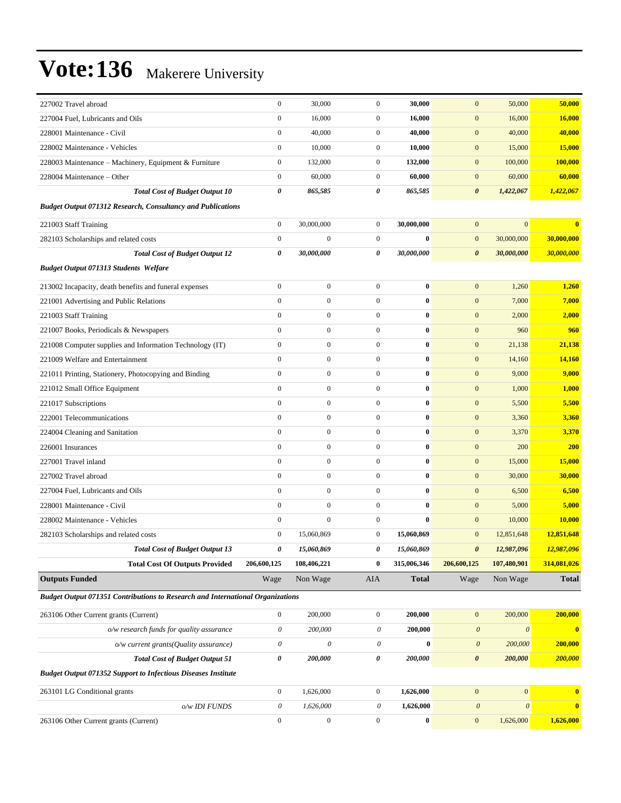| 227002 Travel abroad                                                           | $\boldsymbol{0}$          | 30,000                | $\boldsymbol{0}$      | 30,000           | $\mathbf{0}$              | 50,000                | 50,000       |
|--------------------------------------------------------------------------------|---------------------------|-----------------------|-----------------------|------------------|---------------------------|-----------------------|--------------|
| 227004 Fuel, Lubricants and Oils                                               | $\boldsymbol{0}$          | 16,000                | $\overline{0}$        | 16,000           | $\boldsymbol{0}$          | 16,000                | 16,000       |
| 228001 Maintenance - Civil                                                     | $\overline{0}$            | 40,000                | $\overline{0}$        | 40,000           | $\mathbf{0}$              | 40,000                | 40,000       |
| 228002 Maintenance - Vehicles                                                  | $\boldsymbol{0}$          | 10,000                | $\mathbf{0}$          | 10,000           | $\mathbf{0}$              | 15,000                | 15,000       |
| 228003 Maintenance - Machinery, Equipment & Furniture                          | $\boldsymbol{0}$          | 132,000               | $\mathbf{0}$          | 132,000          | $\mathbf{0}$              | 100,000               | 100,000      |
| 228004 Maintenance – Other                                                     | $\boldsymbol{0}$          | 60,000                | $\mathbf{0}$          | 60,000           | $\mathbf{0}$              | 60,000                | 60,000       |
| <b>Total Cost of Budget Output 10</b>                                          | 0                         | 865,585               | 0                     | 865,585          | $\boldsymbol{\theta}$     | 1,422,067             | 1,422,067    |
| <b>Budget Output 071312 Research, Consultancy and Publications</b>             |                           |                       |                       |                  |                           |                       |              |
| 221003 Staff Training                                                          | $\boldsymbol{0}$          | 30,000,000            | $\mathbf{0}$          | 30,000,000       | $\mathbf{0}$              | $\mathbf{0}$          | $\bf{0}$     |
| 282103 Scholarships and related costs                                          | $\boldsymbol{0}$          | $\boldsymbol{0}$      | $\overline{0}$        | $\bf{0}$         | $\mathbf{0}$              | 30,000,000            | 30,000,000   |
| <b>Total Cost of Budget Output 12</b>                                          | 0                         | 30,000,000            | 0                     | 30,000,000       | $\boldsymbol{\theta}$     | 30,000,000            | 30,000,000   |
| <b>Budget Output 071313 Students Welfare</b>                                   |                           |                       |                       |                  |                           |                       |              |
| 213002 Incapacity, death benefits and funeral expenses                         | $\boldsymbol{0}$          | $\boldsymbol{0}$      | $\overline{0}$        | $\bf{0}$         | $\mathbf{0}$              | 1,260                 | 1,260        |
| 221001 Advertising and Public Relations                                        | $\overline{0}$            | $\boldsymbol{0}$      | $\overline{0}$        | $\bf{0}$         | $\boldsymbol{0}$          | 7,000                 | 7,000        |
| 221003 Staff Training                                                          | $\boldsymbol{0}$          | $\boldsymbol{0}$      | $\overline{0}$        | $\bf{0}$         | $\mathbf{0}$              | 2,000                 | 2,000        |
| 221007 Books, Periodicals & Newspapers                                         | $\overline{0}$            | $\boldsymbol{0}$      | $\overline{0}$        | $\bf{0}$         | $\mathbf{0}$              | 960                   | 960          |
| 221008 Computer supplies and Information Technology (IT)                       | $\boldsymbol{0}$          | $\boldsymbol{0}$      | $\overline{0}$        | $\bf{0}$         | $\mathbf{0}$              | 21,138                | 21,138       |
| 221009 Welfare and Entertainment                                               | $\overline{0}$            | $\boldsymbol{0}$      | $\overline{0}$        | $\bf{0}$         | $\boldsymbol{0}$          | 14,160                | 14,160       |
| 221011 Printing, Stationery, Photocopying and Binding                          | $\overline{0}$            | $\boldsymbol{0}$      | $\overline{0}$        | $\bf{0}$         | $\boldsymbol{0}$          | 9,000                 | 9,000        |
| 221012 Small Office Equipment                                                  | $\overline{0}$            | $\boldsymbol{0}$      | $\overline{0}$        | $\bf{0}$         | $\mathbf{0}$              | 1,000                 | 1,000        |
| 221017 Subscriptions                                                           | $\overline{0}$            | $\boldsymbol{0}$      | $\overline{0}$        | $\bf{0}$         | $\mathbf{0}$              | 5,500                 | 5,500        |
| 222001 Telecommunications                                                      | $\boldsymbol{0}$          | $\boldsymbol{0}$      | $\overline{0}$        | $\boldsymbol{0}$ | $\mathbf{0}$              | 3,360                 | 3,360        |
| 224004 Cleaning and Sanitation                                                 | $\overline{0}$            | $\boldsymbol{0}$      | $\overline{0}$        | $\bf{0}$         | $\boldsymbol{0}$          | 3,370                 | 3,370        |
| 226001 Insurances                                                              | $\overline{0}$            | $\boldsymbol{0}$      | $\overline{0}$        | $\bf{0}$         | $\boldsymbol{0}$          | 200                   | 200          |
| 227001 Travel inland                                                           | $\overline{0}$            | $\boldsymbol{0}$      | $\overline{0}$        | $\bf{0}$         | $\mathbf{0}$              | 15,000                | 15,000       |
| 227002 Travel abroad                                                           | $\overline{0}$            | $\boldsymbol{0}$      | $\overline{0}$        | $\bf{0}$         | $\mathbf{0}$              | 30,000                | 30,000       |
| 227004 Fuel, Lubricants and Oils                                               | $\boldsymbol{0}$          | $\boldsymbol{0}$      | $\overline{0}$        | $\bf{0}$         | $\mathbf{0}$              | 6,500                 | 6,500        |
| 228001 Maintenance - Civil                                                     | $\overline{0}$            | $\boldsymbol{0}$      | $\overline{0}$        | $\bf{0}$         | $\mathbf{0}$              | 5,000                 | 5,000        |
| 228002 Maintenance - Vehicles                                                  | $\overline{0}$            | $\boldsymbol{0}$      | $\overline{0}$        | $\bf{0}$         | $\mathbf{0}$              | 10,000                | 10,000       |
| 282103 Scholarships and related costs                                          | $\boldsymbol{0}$          | 15,060,869            | $\overline{0}$        | 15,060,869       | $\boldsymbol{0}$          | 12,851,648            | 12,851,648   |
| <b>Total Cost of Budget Output 13</b>                                          | $\pmb{\theta}$            | 15,060,869            | 0                     | 15,060,869       | $\boldsymbol{\theta}$     | 12,987,096            | 12,987,096   |
| <b>Total Cost Of Outputs Provided</b>                                          | 206,600,125               | 108,406,221           | $\bf{0}$              | 315,006,346      | 206,600,125               | 107,480,901           | 314,081,026  |
| <b>Outputs Funded</b>                                                          | Wage                      | Non Wage              | AIA                   | <b>Total</b>     | Wage                      | Non Wage              | <b>Total</b> |
| Budget Output 071351 Contributions to Research and International Organizations |                           |                       |                       |                  |                           |                       |              |
| 263106 Other Current grants (Current)                                          | $\boldsymbol{0}$          | 200,000               | $\overline{0}$        | 200,000          | $\boldsymbol{0}$          | 200,000               | 200,000      |
| o/w research funds for quality assurance                                       | $\boldsymbol{\mathit{0}}$ | 200,000               | $\boldsymbol{\theta}$ | 200,000          | $\boldsymbol{\mathit{0}}$ | $\boldsymbol{\theta}$ | $\bf{0}$     |
| o/w current grants(Quality assurance)                                          | $\boldsymbol{\mathit{0}}$ | $\boldsymbol{\theta}$ | $\boldsymbol{\theta}$ | $\bf{0}$         | $\boldsymbol{\theta}$     | 200,000               | 200,000      |
| <b>Total Cost of Budget Output 51</b>                                          | 0                         | 200,000               | 0                     | 200,000          | $\pmb{\theta}$            | 200,000               | 200,000      |
| <b>Budget Output 071352 Support to Infectious Diseases Institute</b>           |                           |                       |                       |                  |                           |                       |              |
| 263101 LG Conditional grants                                                   | $\boldsymbol{0}$          | 1,626,000             | $\boldsymbol{0}$      | 1,626,000        | $\boldsymbol{0}$          | $\vert 0 \vert$       | $\bf{0}$     |
| o/w IDI FUNDS                                                                  | $\boldsymbol{\theta}$     | 1,626,000             | $\theta$              | 1,626,000        | $\boldsymbol{\theta}$     | $\boldsymbol{\theta}$ | $\bf{0}$     |
| 263106 Other Current grants (Current)                                          | $\boldsymbol{0}$          | $\boldsymbol{0}$      | $\boldsymbol{0}$      | $\boldsymbol{0}$ | $\boldsymbol{0}$          | 1,626,000             | 1,626,000    |
|                                                                                |                           |                       |                       |                  |                           |                       |              |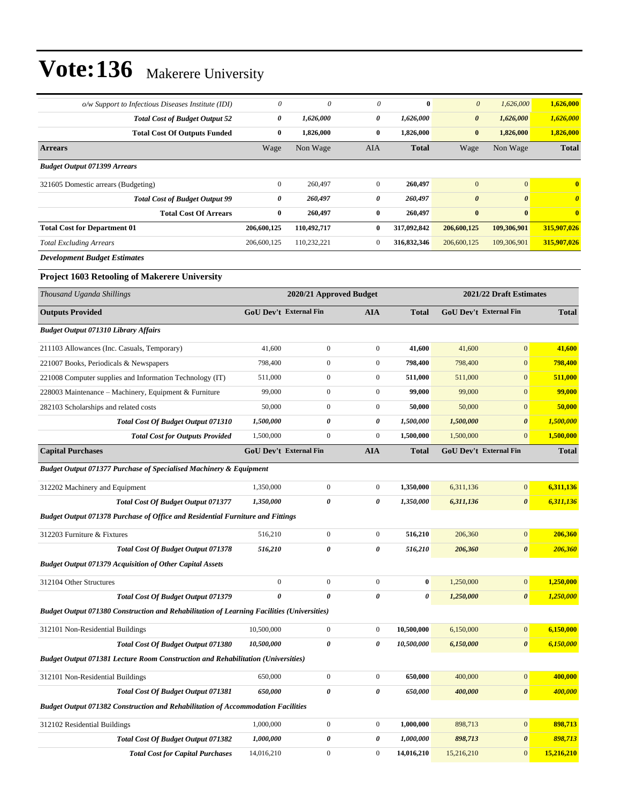| o/w Support to Infectious Diseases Institute (IDI)                                                | $\theta$         | $\theta$                      | 0                | $\bf{0}$     | $\boldsymbol{\theta}$ | 1,626,000                     | 1,626,000               |
|---------------------------------------------------------------------------------------------------|------------------|-------------------------------|------------------|--------------|-----------------------|-------------------------------|-------------------------|
| <b>Total Cost of Budget Output 52</b>                                                             | 0                | 1,626,000                     | 0                | 1,626,000    | $\boldsymbol{\theta}$ | 1,626,000                     | 1,626,000               |
| <b>Total Cost Of Outputs Funded</b>                                                               | $\bf{0}$         | 1,826,000                     | $\bf{0}$         | 1,826,000    | $\bf{0}$              | 1,826,000                     | 1,826,000               |
| <b>Arrears</b>                                                                                    | Wage             | Non Wage                      | AIA              | <b>Total</b> | Wage                  | Non Wage                      | <b>Total</b>            |
| <b>Budget Output 071399 Arrears</b>                                                               |                  |                               |                  |              |                       |                               |                         |
| 321605 Domestic arrears (Budgeting)                                                               | $\boldsymbol{0}$ | 260,497                       | $\mathbf{0}$     | 260,497      | $\mathbf{0}$          | $\boldsymbol{0}$              | $\overline{\mathbf{0}}$ |
| <b>Total Cost of Budget Output 99</b>                                                             | 0                | 260,497                       | 0                | 260,497      | $\boldsymbol{\theta}$ | $\boldsymbol{\theta}$         | $\boldsymbol{\theta}$   |
| <b>Total Cost Of Arrears</b>                                                                      | $\bf{0}$         | 260,497                       | $\bf{0}$         | 260,497      | $\bf{0}$              | $\bf{0}$                      | $\bf{0}$                |
| <b>Total Cost for Department 01</b>                                                               | 206,600,125      | 110,492,717                   | $\bf{0}$         | 317,092,842  | 206,600,125           | 109,306,901                   | 315,907,026             |
| <b>Total Excluding Arrears</b>                                                                    | 206,600,125      | 110,232,221                   | $\boldsymbol{0}$ | 316,832,346  | 206,600,125           | 109,306,901                   | 315,907,026             |
| <b>Development Budget Estimates</b>                                                               |                  |                               |                  |              |                       |                               |                         |
| Project 1603 Retooling of Makerere University                                                     |                  |                               |                  |              |                       |                               |                         |
| Thousand Uganda Shillings                                                                         |                  | 2020/21 Approved Budget       |                  |              |                       | 2021/22 Draft Estimates       |                         |
| <b>Outputs Provided</b>                                                                           |                  | <b>GoU Dev't External Fin</b> | <b>AIA</b>       | Total        |                       | GoU Dev't External Fin        | <b>Total</b>            |
| <b>Budget Output 071310 Library Affairs</b>                                                       |                  |                               |                  |              |                       |                               |                         |
| 211103 Allowances (Inc. Casuals, Temporary)                                                       | 41,600           | $\boldsymbol{0}$              | $\boldsymbol{0}$ | 41,600       | 41,600                | $\boldsymbol{0}$              | 41,600                  |
| 221007 Books, Periodicals & Newspapers                                                            | 798,400          | $\boldsymbol{0}$              | $\boldsymbol{0}$ | 798,400      | 798,400               | $\mathbf{0}$                  | 798,400                 |
| 221008 Computer supplies and Information Technology (IT)                                          | 511,000          | $\boldsymbol{0}$              | $\boldsymbol{0}$ | 511,000      | 511,000               | $\mathbf{0}$                  | 511,000                 |
| 228003 Maintenance - Machinery, Equipment & Furniture                                             | 99,000           | $\boldsymbol{0}$              | $\boldsymbol{0}$ | 99,000       | 99,000                | $\mathbf{0}$                  | 99,000                  |
| 282103 Scholarships and related costs                                                             | 50,000           | $\boldsymbol{0}$              | $\boldsymbol{0}$ | 50,000       | 50,000                | $\mathbf{0}$                  | 50,000                  |
| Total Cost Of Budget Output 071310                                                                | 1,500,000        | 0                             | 0                | 1,500,000    | 1,500,000             | $\boldsymbol{\theta}$         | 1,500,000               |
| <b>Total Cost for Outputs Provided</b>                                                            | 1,500,000        | $\boldsymbol{0}$              | $\boldsymbol{0}$ | 1,500,000    | 1,500,000             | $\mathbf{0}$                  | 1,500,000               |
| <b>Capital Purchases</b>                                                                          |                  | <b>GoU Dev't External Fin</b> | <b>AIA</b>       | Total        |                       | <b>GoU Dev't External Fin</b> | <b>Total</b>            |
| Budget Output 071377 Purchase of Specialised Machinery & Equipment                                |                  |                               |                  |              |                       |                               |                         |
| 312202 Machinery and Equipment                                                                    | 1,350,000        | $\boldsymbol{0}$              | $\boldsymbol{0}$ | 1,350,000    | 6,311,136             | $\mathbf{0}$                  | 6,311,136               |
| <b>Total Cost Of Budget Output 071377</b>                                                         | 1,350,000        | 0                             | 0                | 1,350,000    | 6,311,136             | $\boldsymbol{\theta}$         | 6,311,136               |
| <b>Budget Output 071378 Purchase of Office and Residential Furniture and Fittings</b>             |                  |                               |                  |              |                       |                               |                         |
| 312203 Furniture & Fixtures                                                                       | 516,210          | $\mathbf{0}$                  | $\boldsymbol{0}$ | 516,210      | 206,360               | $\mathbf{0}$                  | 206,360                 |
| Total Cost Of Budget Output 071378                                                                | 516,210          | 0                             | 0                | 516,210      | 206,360               | $\boldsymbol{\theta}$         | <b>206,360</b>          |
| <b>Budget Output 071379 Acquisition of Other Capital Assets</b>                                   |                  |                               |                  |              |                       |                               |                         |
| 312104 Other Structures                                                                           | $\boldsymbol{0}$ | $\boldsymbol{0}$              | $\boldsymbol{0}$ | $\bf{0}$     | 1,250,000             | $\boldsymbol{0}$              | 1,250,000               |
| Total Cost Of Budget Output 071379                                                                | $\pmb{\theta}$   | 0                             | 0                | 0            | 1,250,000             | $\boldsymbol{\theta}$         | 1,250,000               |
| <b>Budget Output 071380 Construction and Rehabilitation of Learning Facilities (Universities)</b> |                  |                               |                  |              |                       |                               |                         |
| 312101 Non-Residential Buildings                                                                  | 10,500,000       | $\boldsymbol{0}$              | $\boldsymbol{0}$ | 10,500,000   | 6,150,000             | $\mathbf{0}$                  | 6,150,000               |
| Total Cost Of Budget Output 071380                                                                | 10,500,000       | 0                             | 0                | 10,500,000   | 6,150,000             | $\boldsymbol{\theta}$         | 6,150,000               |
| <b>Budget Output 071381 Lecture Room Construction and Rehabilitation (Universities)</b>           |                  |                               |                  |              |                       |                               |                         |
| 312101 Non-Residential Buildings                                                                  | 650,000          | $\boldsymbol{0}$              | $\boldsymbol{0}$ | 650,000      | 400,000               | $\mathbf{0}$                  | 400,000                 |
| Total Cost Of Budget Output 071381                                                                | 650,000          | 0                             | 0                | 650,000      | 400,000               | $\pmb{\theta}$                | 400,000                 |
| <b>Budget Output 071382 Construction and Rehabilitation of Accommodation Facilities</b>           |                  |                               |                  |              |                       |                               |                         |
| 312102 Residential Buildings                                                                      | 1,000,000        | $\boldsymbol{0}$              | $\boldsymbol{0}$ | 1,000,000    | 898,713               | $\boldsymbol{0}$              | 898,713                 |
| <b>Total Cost Of Budget Output 071382</b>                                                         | 1,000,000        | 0                             | 0                | 1,000,000    | 898,713               | 0                             | 898,713                 |
| <b>Total Cost for Capital Purchases</b>                                                           | 14,016,210       | $\boldsymbol{0}$              | $\boldsymbol{0}$ | 14,016,210   | 15,216,210            | $\boldsymbol{0}$              | 15,216,210              |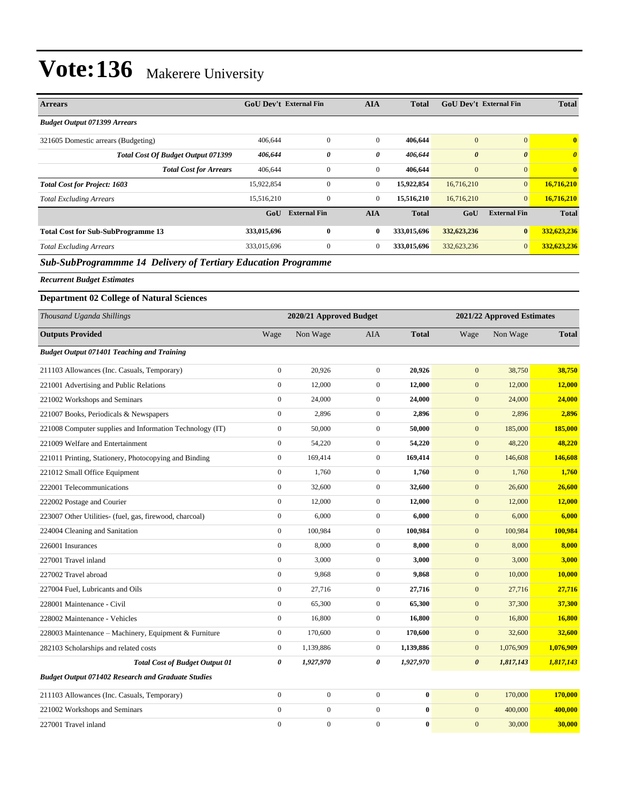| <b>Arrears</b>                                                       | <b>GoU Dev't External Fin</b> |                     | <b>AIA</b>     | <b>Total</b> | <b>GoU Dev't External Fin</b> |                       | <b>Total</b>          |
|----------------------------------------------------------------------|-------------------------------|---------------------|----------------|--------------|-------------------------------|-----------------------|-----------------------|
| <b>Budget Output 071399 Arrears</b>                                  |                               |                     |                |              |                               |                       |                       |
| 321605 Domestic arrears (Budgeting)                                  | 406,644                       | $\mathbf{0}$        | $\mathbf{0}$   | 406,644      | $\overline{0}$                | $\mathbf{0}$          | $\overline{0}$        |
| Total Cost Of Budget Output 071399                                   | 406,644                       | 0                   | 0              | 406,644      | $\boldsymbol{\theta}$         | $\boldsymbol{\theta}$ | $\boldsymbol{\theta}$ |
| <b>Total Cost for Arrears</b>                                        | 406,644                       | 0                   | $\overline{0}$ | 406,644      | $\overline{0}$                | $\mathbf{0}$          | $\mathbf{0}$          |
| <b>Total Cost for Project: 1603</b>                                  | 15,922,854                    | 0                   | $\mathbf{0}$   | 15,922,854   | 16,716,210                    | $\overline{0}$        | 16,716,210            |
| <b>Total Excluding Arrears</b>                                       | 15,516,210                    | $\mathbf{0}$        | $\overline{0}$ | 15,516,210   | 16,716,210                    | $\mathbf{0}$          | 16,716,210            |
|                                                                      | GoU                           | <b>External Fin</b> | <b>AIA</b>     | <b>Total</b> | GoU                           | <b>External Fin</b>   | <b>Total</b>          |
| <b>Total Cost for Sub-SubProgramme 13</b>                            | 333,015,696                   | $\mathbf{0}$        | 0              | 333,015,696  | 332,623,236                   | $\bf{0}$              | 332,623,236           |
| <b>Total Excluding Arrears</b>                                       | 333,015,696                   | $\overline{0}$      | $\mathbf{0}$   | 333,015,696  | 332,623,236                   | $\mathbf{0}$          | 332,623,236           |
| <b>Sub-SubProgrammme 14 Delivery of Tertiary Education Programme</b> |                               |                     |                |              |                               |                       |                       |

*Sub-SubProgrammme 14 Delivery of Tertiary Education Programme*

*Recurrent Budget Estimates*

#### **Department 02 College of Natural Sciences**

| Thousand Uganda Shillings                                 |                  | 2020/21 Approved Budget |                  |              |                       | 2021/22 Approved Estimates |              |
|-----------------------------------------------------------|------------------|-------------------------|------------------|--------------|-----------------------|----------------------------|--------------|
| <b>Outputs Provided</b>                                   | Wage             | Non Wage                | <b>AIA</b>       | <b>Total</b> | Wage                  | Non Wage                   | <b>Total</b> |
| <b>Budget Output 071401 Teaching and Training</b>         |                  |                         |                  |              |                       |                            |              |
| 211103 Allowances (Inc. Casuals, Temporary)               | $\boldsymbol{0}$ | 20,926                  | $\boldsymbol{0}$ | 20,926       | $\mathbf{0}$          | 38,750                     | 38,750       |
| 221001 Advertising and Public Relations                   | $\mathbf{0}$     | 12,000                  | $\overline{0}$   | 12,000       | $\mathbf{0}$          | 12,000                     | 12,000       |
| 221002 Workshops and Seminars                             | $\boldsymbol{0}$ | 24,000                  | $\overline{0}$   | 24,000       | $\mathbf{0}$          | 24,000                     | 24,000       |
| 221007 Books, Periodicals & Newspapers                    | $\boldsymbol{0}$ | 2,896                   | $\mathbf{0}$     | 2,896        | $\mathbf{0}$          | 2,896                      | 2,896        |
| 221008 Computer supplies and Information Technology (IT)  | $\boldsymbol{0}$ | 50,000                  | $\overline{0}$   | 50,000       | $\mathbf{0}$          | 185,000                    | 185,000      |
| 221009 Welfare and Entertainment                          | $\boldsymbol{0}$ | 54,220                  | $\overline{0}$   | 54,220       | $\mathbf{0}$          | 48,220                     | 48,220       |
| 221011 Printing, Stationery, Photocopying and Binding     | $\boldsymbol{0}$ | 169,414                 | $\mathbf{0}$     | 169,414      | $\mathbf{0}$          | 146,608                    | 146,608      |
| 221012 Small Office Equipment                             | $\boldsymbol{0}$ | 1,760                   | $\overline{0}$   | 1,760        | $\mathbf{0}$          | 1,760                      | 1,760        |
| 222001 Telecommunications                                 | $\mathbf{0}$     | 32,600                  | $\overline{0}$   | 32,600       | $\mathbf{0}$          | 26,600                     | 26,600       |
| 222002 Postage and Courier                                | $\boldsymbol{0}$ | 12,000                  | $\overline{0}$   | 12,000       | $\boldsymbol{0}$      | 12,000                     | 12,000       |
| 223007 Other Utilities- (fuel, gas, firewood, charcoal)   | $\boldsymbol{0}$ | 6,000                   | $\overline{0}$   | 6,000        | $\boldsymbol{0}$      | 6,000                      | 6,000        |
| 224004 Cleaning and Sanitation                            | $\mathbf{0}$     | 100,984                 | $\overline{0}$   | 100,984      | $\mathbf{0}$          | 100,984                    | 100,984      |
| 226001 Insurances                                         | $\boldsymbol{0}$ | 8,000                   | $\mathbf{0}$     | 8,000        | $\mathbf{0}$          | 8,000                      | 8,000        |
| 227001 Travel inland                                      | $\boldsymbol{0}$ | 3,000                   | $\overline{0}$   | 3,000        | $\boldsymbol{0}$      | 3,000                      | 3,000        |
| 227002 Travel abroad                                      | $\mathbf{0}$     | 9,868                   | $\overline{0}$   | 9,868        | $\mathbf{0}$          | 10,000                     | 10,000       |
| 227004 Fuel, Lubricants and Oils                          | $\boldsymbol{0}$ | 27,716                  | $\mathbf{0}$     | 27,716       | $\mathbf{0}$          | 27,716                     | 27,716       |
| 228001 Maintenance - Civil                                | $\mathbf{0}$     | 65,300                  | $\overline{0}$   | 65,300       | $\boldsymbol{0}$      | 37,300                     | 37,300       |
| 228002 Maintenance - Vehicles                             | $\boldsymbol{0}$ | 16,800                  | $\overline{0}$   | 16,800       | $\mathbf{0}$          | 16,800                     | 16,800       |
| 228003 Maintenance - Machinery, Equipment & Furniture     | $\boldsymbol{0}$ | 170,600                 | $\overline{0}$   | 170,600      | $\mathbf{0}$          | 32,600                     | 32,600       |
| 282103 Scholarships and related costs                     | $\boldsymbol{0}$ | 1,139,886               | $\mathbf{0}$     | 1,139,886    | $\mathbf{0}$          | 1,076,909                  | 1,076,909    |
| <b>Total Cost of Budget Output 01</b>                     | 0                | 1,927,970               | 0                | 1,927,970    | $\boldsymbol{\theta}$ | 1,817,143                  | 1,817,143    |
| <b>Budget Output 071402 Research and Graduate Studies</b> |                  |                         |                  |              |                       |                            |              |
| 211103 Allowances (Inc. Casuals, Temporary)               | $\mathbf{0}$     | $\mathbf{0}$            | $\overline{0}$   | $\bf{0}$     | $\mathbf{0}$          | 170,000                    | 170,000      |
| 221002 Workshops and Seminars                             | $\boldsymbol{0}$ | $\boldsymbol{0}$        | $\overline{0}$   | $\bf{0}$     | $\mathbf{0}$          | 400,000                    | 400,000      |
| 227001 Travel inland                                      | $\mathbf{0}$     | $\overline{0}$          | $\mathbf{0}$     | $\bf{0}$     | $\mathbf{0}$          | 30,000                     | 30,000       |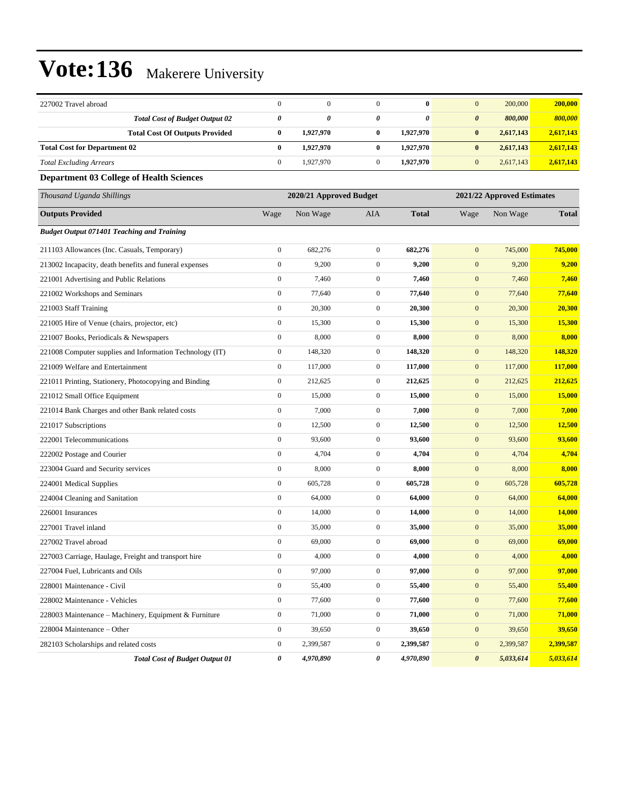| 227002 Travel abroad                                     | $\boldsymbol{0}$ | $\mathbf{0}$            | $\mathbf{0}$          | $\bf{0}$                   | $\overline{0}$                     | 200,000<br>200,000 |  |  |
|----------------------------------------------------------|------------------|-------------------------|-----------------------|----------------------------|------------------------------------|--------------------|--|--|
| <b>Total Cost of Budget Output 02</b>                    | 0                | 0                       | $\boldsymbol{\theta}$ | $\boldsymbol{\theta}$      | $\boldsymbol{\theta}$              | 800,000<br>800,000 |  |  |
| <b>Total Cost Of Outputs Provided</b>                    | $\bf{0}$         | 1,927,970               | $\bf{0}$              | 1,927,970                  | $\bf{0}$<br>2,617,143              | 2,617,143          |  |  |
| <b>Total Cost for Department 02</b>                      | $\bf{0}$         | 1,927,970               | $\bf{0}$              | 1,927,970                  | $\bf{0}$<br>2,617,143              | 2,617,143          |  |  |
| <b>Total Excluding Arrears</b>                           | $\boldsymbol{0}$ | 1,927,970               | $\mathbf{0}$          | 1,927,970                  | $\mathbf{0}$<br>2,617,143          | 2,617,143          |  |  |
| <b>Department 03 College of Health Sciences</b>          |                  |                         |                       |                            |                                    |                    |  |  |
| Thousand Uganda Shillings                                |                  | 2020/21 Approved Budget |                       | 2021/22 Approved Estimates |                                    |                    |  |  |
| <b>Outputs Provided</b>                                  | Wage             | Non Wage                | <b>AIA</b>            | <b>Total</b>               | Non Wage<br>Wage                   | <b>Total</b>       |  |  |
| <b>Budget Output 071401 Teaching and Training</b>        |                  |                         |                       |                            |                                    |                    |  |  |
| 211103 Allowances (Inc. Casuals, Temporary)              | $\boldsymbol{0}$ | 682,276                 | $\mathbf{0}$          | 682,276                    | $\mathbf{0}$                       | 745,000<br>745,000 |  |  |
| 213002 Incapacity, death benefits and funeral expenses   | $\boldsymbol{0}$ | 9,200                   | $\mathbf{0}$          | 9,200                      | $\boldsymbol{0}$                   | 9,200<br>9,200     |  |  |
| 221001 Advertising and Public Relations                  | $\boldsymbol{0}$ | 7,460                   | $\mathbf{0}$          | 7,460                      | $\boldsymbol{0}$                   | 7,460<br>7,460     |  |  |
| 221002 Workshops and Seminars                            | $\boldsymbol{0}$ | 77,640                  | $\mathbf{0}$          | 77,640                     | $\mathbf{0}$                       | 77,640<br>77,640   |  |  |
| 221003 Staff Training                                    | $\boldsymbol{0}$ | 20,300                  | $\mathbf{0}$          | 20,300                     | $\mathbf{0}$                       | 20,300<br>20,300   |  |  |
| 221005 Hire of Venue (chairs, projector, etc)            | $\boldsymbol{0}$ | 15,300                  | $\mathbf{0}$          | 15,300                     | $\boldsymbol{0}$                   | 15,300<br>15,300   |  |  |
| 221007 Books, Periodicals & Newspapers                   | $\boldsymbol{0}$ | 8,000                   | $\mathbf{0}$          | 8,000                      | $\boldsymbol{0}$                   | 8,000<br>8,000     |  |  |
| 221008 Computer supplies and Information Technology (IT) | $\boldsymbol{0}$ | 148,320                 | $\mathbf{0}$          | 148,320                    | $\boldsymbol{0}$                   | 148,320<br>148,320 |  |  |
| 221009 Welfare and Entertainment                         | $\boldsymbol{0}$ | 117,000                 | $\mathbf{0}$          | 117,000                    | $\mathbf{0}$                       | 117,000<br>117,000 |  |  |
| 221011 Printing, Stationery, Photocopying and Binding    | $\boldsymbol{0}$ | 212,625                 | $\mathbf{0}$          | 212,625                    | $\mathbf{0}$                       | 212,625<br>212,625 |  |  |
| 221012 Small Office Equipment                            | $\boldsymbol{0}$ | 15,000                  | $\mathbf{0}$          | 15,000                     | $\boldsymbol{0}$                   | 15,000<br>15,000   |  |  |
| 221014 Bank Charges and other Bank related costs         | $\boldsymbol{0}$ | 7,000                   | $\mathbf{0}$          | 7,000                      | $\mathbf{0}$                       | 7,000<br>7,000     |  |  |
| 221017 Subscriptions                                     | $\boldsymbol{0}$ | 12,500                  | $\mathbf{0}$          | 12,500                     | $\boldsymbol{0}$                   | 12,500<br>12,500   |  |  |
| 222001 Telecommunications                                | $\boldsymbol{0}$ | 93,600                  | $\mathbf{0}$          | 93,600                     | $\mathbf{0}$                       | 93,600<br>93,600   |  |  |
| 222002 Postage and Courier                               | $\boldsymbol{0}$ | 4,704                   | $\mathbf{0}$          | 4,704                      | $\mathbf{0}$                       | 4,704<br>4,704     |  |  |
| 223004 Guard and Security services                       | $\boldsymbol{0}$ | 8,000                   | $\mathbf{0}$          | 8,000                      | $\boldsymbol{0}$                   | 8,000<br>8,000     |  |  |
| 224001 Medical Supplies                                  | $\boldsymbol{0}$ | 605,728                 | $\mathbf{0}$          | 605,728                    | $\boldsymbol{0}$                   | 605,728<br>605,728 |  |  |
| 224004 Cleaning and Sanitation                           | $\boldsymbol{0}$ | 64,000                  | $\mathbf{0}$          | 64,000                     | $\boldsymbol{0}$                   | 64,000<br>64,000   |  |  |
| 226001 Insurances                                        | $\boldsymbol{0}$ | 14,000                  | $\mathbf{0}$          | 14,000                     | $\mathbf{0}$                       | 14,000<br>14,000   |  |  |
| 227001 Travel inland                                     | $\boldsymbol{0}$ | 35,000                  | $\mathbf{0}$          | 35,000                     | $\mathbf{0}$                       | 35,000<br>35,000   |  |  |
| 227002 Travel abroad                                     | $\boldsymbol{0}$ | 69,000                  | $\mathbf{0}$          | 69,000                     | $\mathbf{0}$                       | 69,000<br>69,000   |  |  |
| 227003 Carriage, Haulage, Freight and transport hire     | $\boldsymbol{0}$ | 4,000                   | $\boldsymbol{0}$      | 4,000                      | $\mathbf{0}$                       | 4,000<br>4,000     |  |  |
| 227004 Fuel, Lubricants and Oils                         | $\boldsymbol{0}$ | 97,000                  | $\mathbf{0}$          | 97,000                     | $\boldsymbol{0}$                   | 97,000<br>97,000   |  |  |
| 228001 Maintenance - Civil                               | $\boldsymbol{0}$ | 55,400                  | $\boldsymbol{0}$      | 55,400                     | $\boldsymbol{0}$                   | 55,400<br>55,400   |  |  |
| 228002 Maintenance - Vehicles                            | $\boldsymbol{0}$ | 77,600                  | $\boldsymbol{0}$      | 77,600                     | $\mathbf{0}$                       | 77,600<br>77,600   |  |  |
| 228003 Maintenance - Machinery, Equipment & Furniture    | $\boldsymbol{0}$ | 71,000                  | $\boldsymbol{0}$      | 71,000                     | $\boldsymbol{0}$                   | 71,000<br>71,000   |  |  |
| 228004 Maintenance - Other                               | $\boldsymbol{0}$ | 39,650                  | $\boldsymbol{0}$      | 39,650                     | $\boldsymbol{0}$                   | 39,650<br>39,650   |  |  |
| 282103 Scholarships and related costs                    | $\boldsymbol{0}$ | 2,399,587               | $\boldsymbol{0}$      | 2,399,587                  | $\mathbf{0}$<br>2,399,587          | 2,399,587          |  |  |
| <b>Total Cost of Budget Output 01</b>                    | 0                | 4,970,890               | $\pmb{\theta}$        | 4,970,890                  | $\boldsymbol{\theta}$<br>5,033,614 | 5,033,614          |  |  |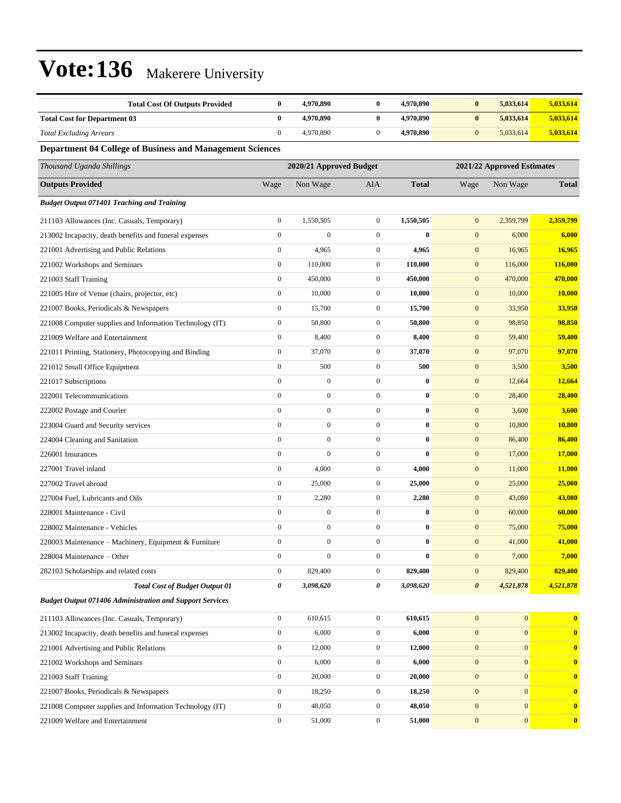| <b>Total Cost Of Outputs Provided</b>                           | $\bf{0}$         | 4,970,890               | $\bf{0}$         | 4,970,890    | $\bf{0}$              | 5,033,614                  | 5,033,614               |
|-----------------------------------------------------------------|------------------|-------------------------|------------------|--------------|-----------------------|----------------------------|-------------------------|
| <b>Total Cost for Department 03</b>                             | $\bf{0}$         | 4,970,890               | $\bf{0}$         | 4,970,890    | $\bf{0}$              | 5,033,614                  | 5,033,614               |
| <b>Total Excluding Arrears</b>                                  | $\boldsymbol{0}$ | 4,970,890               | $\overline{0}$   | 4,970,890    | $\boldsymbol{0}$      | 5,033,614                  | 5,033,614               |
| Department 04 College of Business and Management Sciences       |                  |                         |                  |              |                       |                            |                         |
| Thousand Uganda Shillings                                       |                  | 2020/21 Approved Budget |                  |              |                       | 2021/22 Approved Estimates |                         |
| <b>Outputs Provided</b>                                         | Wage             | Non Wage                | AIA              | <b>Total</b> | Wage                  | Non Wage                   | <b>Total</b>            |
| <b>Budget Output 071401 Teaching and Training</b>               |                  |                         |                  |              |                       |                            |                         |
| 211103 Allowances (Inc. Casuals, Temporary)                     | $\boldsymbol{0}$ | 1,550,505               | $\overline{0}$   | 1,550,505    | $\mathbf{0}$          | 2,359,799                  | 2,359,799               |
| 213002 Incapacity, death benefits and funeral expenses          | $\boldsymbol{0}$ | $\mathbf{0}$            | $\boldsymbol{0}$ | $\bf{0}$     | $\mathbf{0}$          | 6,000                      | 6,000                   |
| 221001 Advertising and Public Relations                         | $\boldsymbol{0}$ | 4,965                   | $\overline{0}$   | 4,965        | $\mathbf{0}$          | 16,965                     | 16,965                  |
| 221002 Workshops and Seminars                                   | $\boldsymbol{0}$ | 110,000                 | $\mathbf{0}$     | 110,000      | $\mathbf{0}$          | 116,000                    | 116,000                 |
| 221003 Staff Training                                           | $\boldsymbol{0}$ | 450,000                 | $\mathbf{0}$     | 450,000      | $\mathbf{0}$          | 470,000                    | 470,000                 |
| 221005 Hire of Venue (chairs, projector, etc)                   | $\boldsymbol{0}$ | 10,000                  | $\overline{0}$   | 10,000       | $\mathbf{0}$          | 10,000                     | 10,000                  |
| 221007 Books, Periodicals & Newspapers                          | $\boldsymbol{0}$ | 15,700                  | $\boldsymbol{0}$ | 15,700       | $\mathbf{0}$          | 33,950                     | 33,950                  |
| 221008 Computer supplies and Information Technology (IT)        | $\boldsymbol{0}$ | 50,800                  | $\boldsymbol{0}$ | 50,800       | $\mathbf{0}$          | 98,850                     | 98,850                  |
| 221009 Welfare and Entertainment                                | $\boldsymbol{0}$ | 8,400                   | $\overline{0}$   | 8,400        | $\mathbf{0}$          | 59,400                     | 59,400                  |
| 221011 Printing, Stationery, Photocopying and Binding           | $\boldsymbol{0}$ | 37,070                  | $\mathbf{0}$     | 37,070       | $\mathbf{0}$          | 97,070                     | 97,070                  |
| 221012 Small Office Equipment                                   | $\mathbf{0}$     | 500                     | $\boldsymbol{0}$ | 500          | $\mathbf{0}$          | 3,500                      | 3,500                   |
| 221017 Subscriptions                                            | $\mathbf{0}$     | $\boldsymbol{0}$        | $\boldsymbol{0}$ | $\bf{0}$     | $\mathbf{0}$          | 12,664                     | 12,664                  |
| 222001 Telecommunications                                       | $\boldsymbol{0}$ | $\boldsymbol{0}$        | $\boldsymbol{0}$ | $\bf{0}$     | $\mathbf{0}$          | 28,400                     | 28,400                  |
| 222002 Postage and Courier                                      | $\mathbf{0}$     | $\boldsymbol{0}$        | $\overline{0}$   | $\bf{0}$     | $\mathbf{0}$          | 3,600                      | 3,600                   |
| 223004 Guard and Security services                              | $\boldsymbol{0}$ | $\boldsymbol{0}$        | $\overline{0}$   | $\bf{0}$     | $\boldsymbol{0}$      | 10,800                     | 10,800                  |
| 224004 Cleaning and Sanitation                                  | $\mathbf{0}$     | $\boldsymbol{0}$        | $\mathbf{0}$     | $\bf{0}$     | $\mathbf{0}$          | 86,400                     | 86,400                  |
| 226001 Insurances                                               | $\mathbf{0}$     | $\overline{0}$          | $\boldsymbol{0}$ | $\bf{0}$     | $\mathbf{0}$          | 17,000                     | 17,000                  |
| 227001 Travel inland                                            | $\boldsymbol{0}$ | 4,000                   | $\overline{0}$   | 4,000        | $\mathbf{0}$          | 11,000                     | 11,000                  |
| 227002 Travel abroad                                            | $\boldsymbol{0}$ | 25,000                  | $\mathbf{0}$     | 25,000       | $\mathbf{0}$          | 25,000                     | 25,000                  |
| 227004 Fuel, Lubricants and Oils                                | $\boldsymbol{0}$ | 2,280                   | $\overline{0}$   | 2,280        | $\mathbf{0}$          | 43,080                     | 43,080                  |
| 228001 Maintenance - Civil                                      | $\mathbf{0}$     | $\boldsymbol{0}$        | $\overline{0}$   | $\bf{0}$     | $\mathbf{0}$          | 60,000                     | 60,000                  |
| 228002 Maintenance - Vehicles                                   | $\boldsymbol{0}$ | $\boldsymbol{0}$        | $\boldsymbol{0}$ | $\bf{0}$     | $\mathbf{0}$          | 75,000                     | 75,000                  |
| 228003 Maintenance - Machinery, Equipment & Furniture           | $\mathbf{0}$     | $\overline{0}$          | $\mathbf{0}$     | $\bf{0}$     | $\mathbf{0}$          | 41,000                     | 41,000                  |
| 228004 Maintenance - Other                                      | $\mathbf{0}$     | $\boldsymbol{0}$        | $\overline{0}$   | $\bf{0}$     | $\mathbf{0}$          | 7,000                      | 7,000                   |
| 282103 Scholarships and related costs                           | $\boldsymbol{0}$ | 829,400                 | $\mathbf{0}$     | 829,400      | $\mathbf{0}$          | 829,400                    | 829,400                 |
| <b>Total Cost of Budget Output 01</b>                           | 0                | 3,098,620               | 0                | 3,098,620    | $\boldsymbol{\theta}$ | 4,521,878                  | 4,521,878               |
| <b>Budget Output 071406 Administration and Support Services</b> |                  |                         |                  |              |                       |                            |                         |
| 211103 Allowances (Inc. Casuals, Temporary)                     | $\boldsymbol{0}$ | 610,615                 | $\overline{0}$   | 610,615      | $\mathbf{0}$          | $\mathbf{0}$               | $\mathbf{0}$            |
| 213002 Incapacity, death benefits and funeral expenses          | $\boldsymbol{0}$ | 6,000                   | $\boldsymbol{0}$ | 6,000        | $\mathbf{0}$          | $\mathbf{0}$               | $\bf{0}$                |
| 221001 Advertising and Public Relations                         | $\boldsymbol{0}$ | 12,000                  | $\boldsymbol{0}$ | 12,000       | $\boldsymbol{0}$      | $\mathbf{0}$               | $\bf{0}$                |
| 221002 Workshops and Seminars                                   | $\boldsymbol{0}$ | 6,000                   | $\boldsymbol{0}$ | 6,000        | $\mathbf{0}$          | $\mathbf{0}$               | $\bf{0}$                |
| 221003 Staff Training                                           | $\mathbf{0}$     | 20,000                  | $\boldsymbol{0}$ | 20,000       | $\boldsymbol{0}$      | $\mathbf{0}$               | $\bf{0}$                |
| 221007 Books, Periodicals & Newspapers                          | $\boldsymbol{0}$ | 18,250                  | $\boldsymbol{0}$ | 18,250       | $\mathbf{0}$          | $\mathbf{0}$               | $\bf{0}$                |
| 221008 Computer supplies and Information Technology (IT)        | $\boldsymbol{0}$ | 48,050                  | $\boldsymbol{0}$ | 48,050       | $\mathbf{0}$          | $\mathbf{0}$               | $\bf{0}$                |
| 221009 Welfare and Entertainment                                | $\boldsymbol{0}$ | 51,000                  | $\boldsymbol{0}$ | 51,000       | $\mathbf{0}$          | $\mathbf{0}$               | $\overline{\mathbf{0}}$ |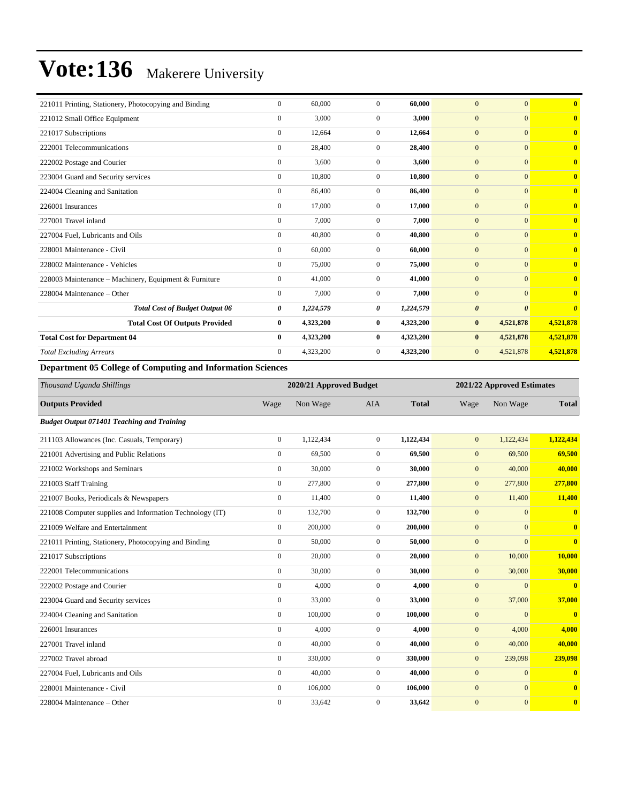| 221011 Printing, Stationery, Photocopying and Binding | $\Omega$       | 60,000    | $\Omega$     | 60.000    | $\theta$              | $\overline{0}$        | $\overline{\mathbf{0}}$          |
|-------------------------------------------------------|----------------|-----------|--------------|-----------|-----------------------|-----------------------|----------------------------------|
| 221012 Small Office Equipment                         | $\Omega$       | 3.000     | $\Omega$     | 3.000     | $\overline{0}$        | $\mathbf{0}$          | $\overline{\mathbf{0}}$          |
| 221017 Subscriptions                                  | $\mathbf{0}$   | 12,664    | $\Omega$     | 12.664    | $\overline{0}$        | $\mathbf{0}$          | $\overline{\mathbf{0}}$          |
| 222001 Telecommunications                             | $\Omega$       | 28,400    | $\Omega$     | 28.400    | $\overline{0}$        | $\overline{0}$        | $\overline{\mathbf{0}}$          |
| 222002 Postage and Courier                            | $\mathbf{0}$   | 3,600     | $\Omega$     | 3,600     | $\overline{0}$        | $\mathbf{0}$          | $\mathbf{0}$                     |
| 223004 Guard and Security services                    | $\mathbf{0}$   | 10,800    | $\Omega$     | 10,800    | $\overline{0}$        | $\mathbf{0}$          | $\mathbf{0}$                     |
| 224004 Cleaning and Sanitation                        | $\mathbf{0}$   | 86,400    | $\mathbf{0}$ | 86,400    | $\overline{0}$        | $\overline{0}$        | $\bf{0}$                         |
| 226001 Insurances                                     | $\mathbf{0}$   | 17,000    | $\mathbf{0}$ | 17,000    | $\overline{0}$        | $\mathbf{0}$          | $\bf{0}$                         |
| 227001 Travel inland                                  | $\Omega$       | 7,000     | $\Omega$     | 7,000     | $\overline{0}$        | $\mathbf{0}$          | $\overline{0}$                   |
| 227004 Fuel, Lubricants and Oils                      | $\mathbf{0}$   | 40,800    | $\Omega$     | 40,800    | $\overline{0}$        | $\mathbf{0}$          | $\bf{0}$                         |
| 228001 Maintenance - Civil                            | $\mathbf{0}$   | 60,000    | $\Omega$     | 60,000    | $\overline{0}$        | $\mathbf{0}$          | $\bf{0}$                         |
| 228002 Maintenance - Vehicles                         | $\mathbf{0}$   | 75,000    | $\Omega$     | 75,000    | $\overline{0}$        | $\mathbf{0}$          | $\bf{0}$                         |
| 228003 Maintenance - Machinery, Equipment & Furniture | $\mathbf{0}$   | 41,000    | $\mathbf{0}$ | 41,000    | $\overline{0}$        | $\mathbf{0}$          | $\bf{0}$                         |
| 228004 Maintenance – Other                            | $\mathbf{0}$   | 7,000     | $\mathbf{0}$ | 7,000     | $\overline{0}$        | $\mathbf{0}$          | $\bf{0}$                         |
| <b>Total Cost of Budget Output 06</b>                 | 0              | 1,224,579 | 0            | 1,224,579 | $\boldsymbol{\theta}$ | $\boldsymbol{\theta}$ | $\overline{\boldsymbol{\theta}}$ |
| <b>Total Cost Of Outputs Provided</b>                 | $\bf{0}$       | 4,323,200 | $\bf{0}$     | 4,323,200 | $\bf{0}$              | 4,521,878             | 4,521,878                        |
| <b>Total Cost for Department 04</b>                   | $\bf{0}$       | 4,323,200 | $\bf{0}$     | 4,323,200 | $\bf{0}$              | 4,521,878             | 4,521,878                        |
| <b>Total Excluding Arrears</b>                        | $\overline{0}$ | 4,323,200 | 0            | 4,323,200 | $\mathbf{0}$          | 4,521,878             | 4,521,878                        |

#### **Department 05 College of Computing and Information Sciences**

| Thousand Uganda Shillings                                |                | 2020/21 Approved Budget |              | 2021/22 Approved Estimates |                  |                |                         |
|----------------------------------------------------------|----------------|-------------------------|--------------|----------------------------|------------------|----------------|-------------------------|
| <b>Outputs Provided</b>                                  | Wage           | Non Wage                | <b>AIA</b>   | <b>Total</b>               | Wage             | Non Wage       | <b>Total</b>            |
| <b>Budget Output 071401 Teaching and Training</b>        |                |                         |              |                            |                  |                |                         |
| 211103 Allowances (Inc. Casuals, Temporary)              | $\overline{0}$ | 1,122,434               | $\mathbf{0}$ | 1,122,434                  | $\overline{0}$   | 1,122,434      | 1,122,434               |
| 221001 Advertising and Public Relations                  | $\mathbf{0}$   | 69,500                  | $\mathbf{0}$ | 69,500                     | $\mathbf{0}$     | 69,500         | 69,500                  |
| 221002 Workshops and Seminars                            | $\mathbf{0}$   | 30,000                  | $\mathbf{0}$ | 30,000                     | $\mathbf{0}$     | 40,000         | 40,000                  |
| 221003 Staff Training                                    | $\mathbf{0}$   | 277,800                 | $\mathbf{0}$ | 277,800                    | $\boldsymbol{0}$ | 277,800        | 277,800                 |
| 221007 Books, Periodicals & Newspapers                   | $\mathbf{0}$   | 11,400                  | $\mathbf{0}$ | 11,400                     | $\mathbf{0}$     | 11,400         | 11,400                  |
| 221008 Computer supplies and Information Technology (IT) | $\mathbf{0}$   | 132,700                 | $\mathbf{0}$ | 132,700                    | $\boldsymbol{0}$ | $\Omega$       | $\overline{0}$          |
| 221009 Welfare and Entertainment                         | $\mathbf{0}$   | 200,000                 | $\mathbf{0}$ | 200,000                    | $\boldsymbol{0}$ | $\Omega$       | $\mathbf{0}$            |
| 221011 Printing, Stationery, Photocopying and Binding    | $\mathbf{0}$   | 50,000                  | $\mathbf{0}$ | 50,000                     | $\mathbf{0}$     | $\Omega$       | $\mathbf{0}$            |
| 221017 Subscriptions                                     | $\mathbf{0}$   | 20,000                  | $\mathbf{0}$ | 20,000                     | $\mathbf{0}$     | 10,000         | 10,000                  |
| 222001 Telecommunications                                | $\overline{0}$ | 30,000                  | $\mathbf{0}$ | 30,000                     | $\boldsymbol{0}$ | 30,000         | 30,000                  |
| 222002 Postage and Courier                               | $\mathbf{0}$   | 4,000                   | $\Omega$     | 4,000                      | $\mathbf{0}$     | $\Omega$       | $\bf{0}$                |
| 223004 Guard and Security services                       | $\mathbf{0}$   | 33,000                  | $\mathbf{0}$ | 33,000                     | $\boldsymbol{0}$ | 37,000         | 37,000                  |
| 224004 Cleaning and Sanitation                           | $\mathbf{0}$   | 100,000                 | $\mathbf{0}$ | 100,000                    | $\mathbf{0}$     | $\Omega$       | $\overline{\mathbf{0}}$ |
| 226001 Insurances                                        | $\mathbf{0}$   | 4,000                   | $\mathbf{0}$ | 4,000                      | $\mathbf{0}$     | 4,000          | 4,000                   |
| 227001 Travel inland                                     | $\mathbf{0}$   | 40,000                  | $\mathbf{0}$ | 40,000                     | $\boldsymbol{0}$ | 40,000         | 40,000                  |
| 227002 Travel abroad                                     | $\mathbf{0}$   | 330,000                 | $\mathbf{0}$ | 330,000                    | $\boldsymbol{0}$ | 239,098        | 239,098                 |
| 227004 Fuel, Lubricants and Oils                         | $\mathbf{0}$   | 40,000                  | $\Omega$     | 40,000                     | $\boldsymbol{0}$ | $\Omega$       | $\overline{\mathbf{0}}$ |
| 228001 Maintenance - Civil                               | $\mathbf{0}$   | 106,000                 | $\mathbf{0}$ | 106,000                    | $\mathbf{0}$     | $\overline{0}$ | $\mathbf{0}$            |
| 228004 Maintenance – Other                               | $\mathbf{0}$   | 33,642                  | $\mathbf{0}$ | 33,642                     | $\mathbf{0}$     | $\overline{0}$ | $\mathbf{0}$            |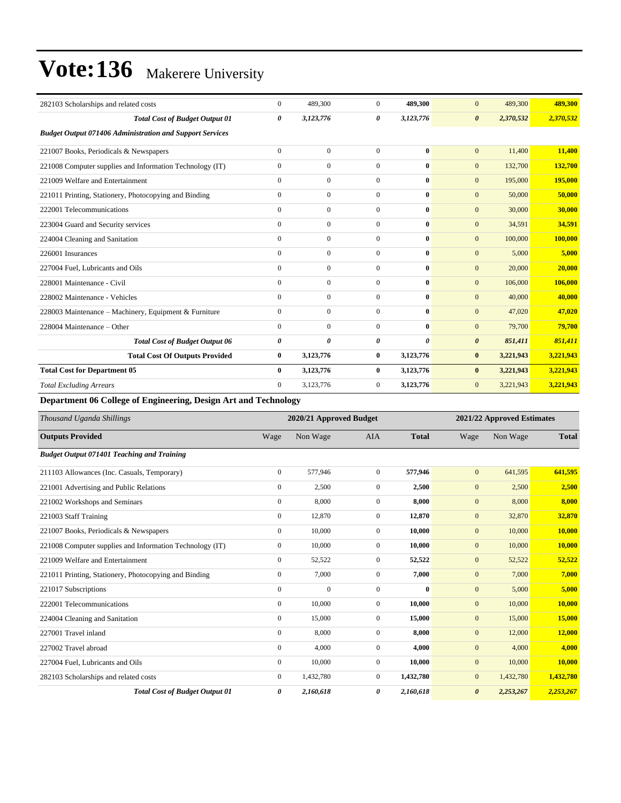| 282103 Scholarships and related costs                           | $\Omega$     | 489,300        | $\Omega$       | 489,300      | $\Omega$<br>489,300                | 489,300   |
|-----------------------------------------------------------------|--------------|----------------|----------------|--------------|------------------------------------|-----------|
| <b>Total Cost of Budget Output 01</b>                           | 0            | 3,123,776      | 0              | 3,123,776    | 2,370,532<br>$\boldsymbol{\theta}$ | 2,370,532 |
| <b>Budget Output 071406 Administration and Support Services</b> |              |                |                |              |                                    |           |
| 221007 Books, Periodicals & Newspapers                          | $\mathbf{0}$ | $\mathbf{0}$   | $\mathbf{0}$   | $\bf{0}$     | $\mathbf{0}$<br>11,400             | 11,400    |
| 221008 Computer supplies and Information Technology (IT)        | $\mathbf{0}$ | $\overline{0}$ | $\overline{0}$ | $\mathbf{0}$ | $\mathbf{0}$<br>132,700            | 132,700   |
| 221009 Welfare and Entertainment                                | $\Omega$     | $\mathbf{0}$   | $\overline{0}$ | $\bf{0}$     | 195,000<br>$\mathbf{0}$            | 195,000   |
| 221011 Printing, Stationery, Photocopying and Binding           | $\Omega$     | $\mathbf{0}$   | $\Omega$       | $\mathbf{0}$ | 50,000<br>$\mathbf{0}$             | 50,000    |
| 222001 Telecommunications                                       | $\Omega$     | $\mathbf{0}$   | $\overline{0}$ | $\bf{0}$     | $\mathbf{0}$<br>30,000             | 30,000    |
| 223004 Guard and Security services                              | $\mathbf{0}$ | $\mathbf{0}$   | $\mathbf{0}$   | $\bf{0}$     | $\mathbf{0}$<br>34,591             | 34,591    |
| 224004 Cleaning and Sanitation                                  | $\mathbf{0}$ | $\overline{0}$ | $\overline{0}$ | $\mathbf{0}$ | $\mathbf{0}$<br>100,000            | 100,000   |
| 226001 Insurances                                               | $\mathbf{0}$ | $\mathbf{0}$   | $\overline{0}$ | $\bf{0}$     | 5,000<br>$\mathbf{0}$              | 5,000     |
| 227004 Fuel, Lubricants and Oils                                | $\mathbf{0}$ | $\mathbf{0}$   | $\Omega$       | $\mathbf{0}$ | $\mathbf{0}$<br>20,000             | 20,000    |
| 228001 Maintenance - Civil                                      | $\Omega$     | $\overline{0}$ | $\theta$       | $\mathbf{0}$ | $\mathbf{0}$<br>106,000            | 106,000   |
| 228002 Maintenance - Vehicles                                   | $\mathbf{0}$ | $\overline{0}$ | $\mathbf{0}$   | $\bf{0}$     | $\mathbf{0}$<br>40,000             | 40,000    |
| 228003 Maintenance – Machinery, Equipment & Furniture           | $\mathbf{0}$ | $\overline{0}$ | $\overline{0}$ | $\mathbf{0}$ | $\mathbf{0}$<br>47,020             | 47,020    |
| 228004 Maintenance - Other                                      | $\Omega$     | $\overline{0}$ | $\overline{0}$ | $\mathbf{0}$ | 79,700<br>$\mathbf{0}$             | 79,700    |
| <b>Total Cost of Budget Output 06</b>                           | 0            | $\theta$       | 0              | $\theta$     | $\boldsymbol{\theta}$<br>851,411   | 851,411   |
| <b>Total Cost Of Outputs Provided</b>                           | $\bf{0}$     | 3,123,776      | 0              | 3,123,776    | $\bf{0}$<br>3,221,943              | 3,221,943 |
| <b>Total Cost for Department 05</b>                             | $\mathbf{0}$ | 3,123,776      | 0              | 3,123,776    | 3,221,943<br>$\bf{0}$              | 3,221,943 |
| <b>Total Excluding Arrears</b>                                  | $\Omega$     | 3,123,776      | $\overline{0}$ | 3,123,776    | $\mathbf{0}$<br>3,221,943          | 3,221,943 |

**Department 06 College of Engineering, Design Art and Technology**

| Thousand Uganda Shillings                                | 2020/21 Approved Budget |              |                  |              | 2021/22 Approved Estimates |           |              |
|----------------------------------------------------------|-------------------------|--------------|------------------|--------------|----------------------------|-----------|--------------|
| <b>Outputs Provided</b>                                  | Wage                    | Non Wage     | <b>AIA</b>       | <b>Total</b> | Wage                       | Non Wage  | <b>Total</b> |
| <b>Budget Output 071401 Teaching and Training</b>        |                         |              |                  |              |                            |           |              |
| 211103 Allowances (Inc. Casuals, Temporary)              | $\boldsymbol{0}$        | 577,946      | $\mathbf{0}$     | 577,946      | $\mathbf{0}$               | 641,595   | 641,595      |
| 221001 Advertising and Public Relations                  | $\mathbf{0}$            | 2,500        | $\mathbf{0}$     | 2,500        | $\mathbf{0}$               | 2,500     | 2,500        |
| 221002 Workshops and Seminars                            | $\mathbf{0}$            | 8,000        | $\overline{0}$   | 8,000        | $\boldsymbol{0}$           | 8,000     | 8,000        |
| 221003 Staff Training                                    | $\boldsymbol{0}$        | 12,870       | $\boldsymbol{0}$ | 12,870       | $\boldsymbol{0}$           | 32,870    | 32,870       |
| 221007 Books, Periodicals & Newspapers                   | $\mathbf{0}$            | 10,000       | $\mathbf{0}$     | 10,000       | $\mathbf{0}$               | 10,000    | 10,000       |
| 221008 Computer supplies and Information Technology (IT) | $\boldsymbol{0}$        | 10,000       | $\overline{0}$   | 10,000       | $\mathbf{0}$               | 10,000    | 10,000       |
| 221009 Welfare and Entertainment                         | $\mathbf{0}$            | 52,522       | $\overline{0}$   | 52,522       | $\mathbf{0}$               | 52,522    | 52,522       |
| 221011 Printing, Stationery, Photocopying and Binding    | $\mathbf{0}$            | 7,000        | $\overline{0}$   | 7,000        | $\mathbf{0}$               | 7,000     | 7,000        |
| 221017 Subscriptions                                     | $\mathbf{0}$            | $\mathbf{0}$ | $\overline{0}$   | $\bf{0}$     | $\mathbf{0}$               | 5,000     | 5,000        |
| 222001 Telecommunications                                | $\mathbf{0}$            | 10,000       | $\overline{0}$   | 10,000       | $\mathbf{0}$               | 10,000    | 10,000       |
| 224004 Cleaning and Sanitation                           | $\mathbf{0}$            | 15,000       | $\overline{0}$   | 15,000       | $\mathbf{0}$               | 15,000    | 15,000       |
| 227001 Travel inland                                     | $\boldsymbol{0}$        | 8,000        | $\overline{0}$   | 8,000        | $\mathbf{0}$               | 12,000    | 12,000       |
| 227002 Travel abroad                                     | $\overline{0}$          | 4,000        | $\overline{0}$   | 4,000        | $\mathbf{0}$               | 4,000     | 4,000        |
| 227004 Fuel, Lubricants and Oils                         | $\boldsymbol{0}$        | 10,000       | $\overline{0}$   | 10,000       | $\mathbf{0}$               | 10,000    | 10,000       |
| 282103 Scholarships and related costs                    | $\mathbf{0}$            | 1,432,780    | $\overline{0}$   | 1,432,780    | $\boldsymbol{0}$           | 1,432,780 | 1,432,780    |
| <b>Total Cost of Budget Output 01</b>                    | 0                       | 2,160,618    | 0                | 2,160,618    | $\boldsymbol{\theta}$      | 2,253,267 | 2,253,267    |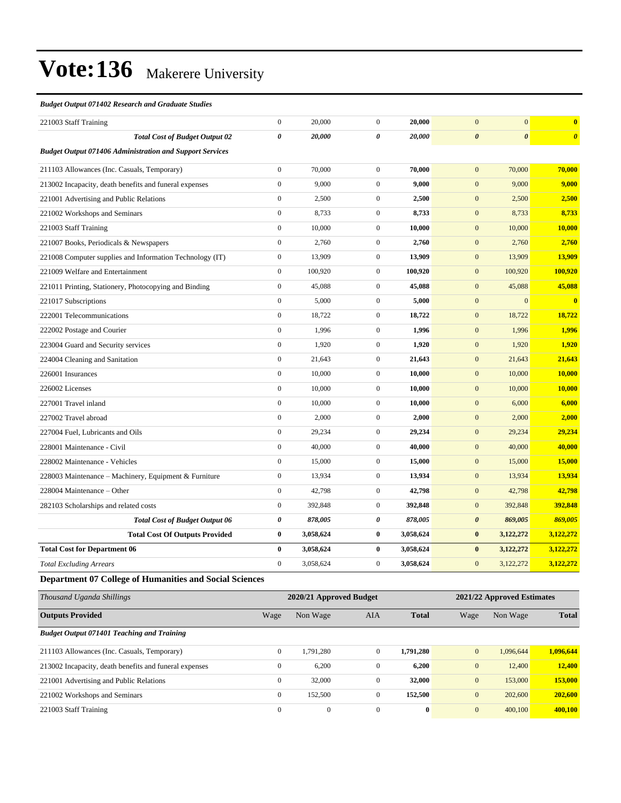#### *Budget Output 071402 Research and Graduate Studies*

| 221003 Staff Training                                           | $\mathbf{0}$          | 20,000    | $\overline{0}$   | 20,000    | $\mathbf{0}$          | $\mathbf{0}$          | $\bf{0}$              |
|-----------------------------------------------------------------|-----------------------|-----------|------------------|-----------|-----------------------|-----------------------|-----------------------|
| <b>Total Cost of Budget Output 02</b>                           | $\boldsymbol{\theta}$ | 20,000    | 0                | 20,000    | $\boldsymbol{\theta}$ | $\boldsymbol{\theta}$ | $\boldsymbol{\theta}$ |
| <b>Budget Output 071406 Administration and Support Services</b> |                       |           |                  |           |                       |                       |                       |
| 211103 Allowances (Inc. Casuals, Temporary)                     | $\boldsymbol{0}$      | 70,000    | $\overline{0}$   | 70,000    | $\overline{0}$        | 70,000                | 70,000                |
| 213002 Incapacity, death benefits and funeral expenses          | $\mathbf{0}$          | 9,000     | $\overline{0}$   | 9,000     | $\mathbf{0}$          | 9,000                 | 9,000                 |
| 221001 Advertising and Public Relations                         | $\mathbf{0}$          | 2,500     | $\overline{0}$   | 2,500     | $\mathbf{0}$          | 2,500                 | 2,500                 |
| 221002 Workshops and Seminars                                   | $\boldsymbol{0}$      | 8,733     | $\boldsymbol{0}$ | 8,733     | $\mathbf{0}$          | 8,733                 | 8,733                 |
| 221003 Staff Training                                           | $\Omega$              | 10,000    | $\overline{0}$   | 10,000    | $\mathbf{0}$          | 10,000                | 10,000                |
| 221007 Books, Periodicals & Newspapers                          | $\mathbf{0}$          | 2,760     | $\overline{0}$   | 2,760     | $\mathbf{0}$          | 2,760                 | 2,760                 |
| 221008 Computer supplies and Information Technology (IT)        | $\boldsymbol{0}$      | 13,909    | $\overline{0}$   | 13,909    | $\mathbf{0}$          | 13,909                | 13,909                |
| 221009 Welfare and Entertainment                                | $\mathbf{0}$          | 100,920   | $\overline{0}$   | 100,920   | $\mathbf{0}$          | 100,920               | 100,920               |
| 221011 Printing, Stationery, Photocopying and Binding           | $\mathbf{0}$          | 45,088    | $\overline{0}$   | 45,088    | $\mathbf{0}$          | 45,088                | 45,088                |
| 221017 Subscriptions                                            | $\mathbf{0}$          | 5,000     | $\overline{0}$   | 5,000     | $\mathbf{0}$          | $\mathbf{0}$          | $\bf{0}$              |
| 222001 Telecommunications                                       | $\mathbf{0}$          | 18,722    | $\overline{0}$   | 18,722    | $\mathbf{0}$          | 18,722                | 18,722                |
| 222002 Postage and Courier                                      | $\boldsymbol{0}$      | 1,996     | $\overline{0}$   | 1,996     | $\mathbf{0}$          | 1,996                 | 1,996                 |
| 223004 Guard and Security services                              | $\mathbf{0}$          | 1,920     | $\overline{0}$   | 1,920     | $\mathbf{0}$          | 1,920                 | 1,920                 |
| 224004 Cleaning and Sanitation                                  | $\mathbf{0}$          | 21,643    | $\overline{0}$   | 21,643    | $\mathbf{0}$          | 21,643                | 21,643                |
| 226001 Insurances                                               | $\boldsymbol{0}$      | 10,000    | $\boldsymbol{0}$ | 10,000    | $\mathbf{0}$          | 10,000                | 10,000                |
| 226002 Licenses                                                 | $\Omega$              | 10,000    | $\overline{0}$   | 10,000    | $\mathbf{0}$          | 10,000                | 10,000                |
| 227001 Travel inland                                            | $\mathbf{0}$          | 10,000    | $\overline{0}$   | 10,000    | $\mathbf{0}$          | 6,000                 | 6,000                 |
| 227002 Travel abroad                                            | $\mathbf{0}$          | 2,000     | $\overline{0}$   | 2,000     | $\mathbf{0}$          | 2,000                 | 2,000                 |
| 227004 Fuel, Lubricants and Oils                                | $\boldsymbol{0}$      | 29,234    | $\overline{0}$   | 29,234    | $\mathbf{0}$          | 29,234                | 29,234                |
| 228001 Maintenance - Civil                                      | $\mathbf{0}$          | 40,000    | $\overline{0}$   | 40,000    | $\mathbf{0}$          | 40,000                | 40,000                |
| 228002 Maintenance - Vehicles                                   | $\mathbf{0}$          | 15,000    | $\overline{0}$   | 15,000    | $\mathbf{0}$          | 15,000                | 15,000                |
| 228003 Maintenance – Machinery, Equipment & Furniture           | $\mathbf{0}$          | 13,934    | $\boldsymbol{0}$ | 13,934    | $\mathbf{0}$          | 13,934                | 13,934                |
| 228004 Maintenance - Other                                      | $\boldsymbol{0}$      | 42,798    | $\overline{0}$   | 42,798    | $\mathbf{0}$          | 42,798                | 42,798                |
| 282103 Scholarships and related costs                           | $\mathbf{0}$          | 392,848   | $\overline{0}$   | 392,848   | $\mathbf{0}$          | 392,848               | 392,848               |
| <b>Total Cost of Budget Output 06</b>                           | $\boldsymbol{\theta}$ | 878,005   | 0                | 878,005   | $\boldsymbol{\theta}$ | 869,005               | 869,005               |
| <b>Total Cost Of Outputs Provided</b>                           | $\bf{0}$              | 3,058,624 | $\bf{0}$         | 3,058,624 | $\bf{0}$              | 3,122,272             | 3,122,272             |
| <b>Total Cost for Department 06</b>                             | $\bf{0}$              | 3,058,624 | $\bf{0}$         | 3,058,624 | $\bf{0}$              | 3,122,272             | 3,122,272             |
| <b>Total Excluding Arrears</b>                                  | $\mathbf{0}$          | 3,058,624 | $\overline{0}$   | 3,058,624 | $\mathbf{0}$          | 3,122,272             | 3,122,272             |
|                                                                 |                       |           |                  |           |                       |                       |                       |

**Department 07 College of Humanities and Social Sciences**

| Thousand Uganda Shillings                              | 2020/21 Approved Budget |              |              |              |              | 2021/22 Approved Estimates |              |  |  |
|--------------------------------------------------------|-------------------------|--------------|--------------|--------------|--------------|----------------------------|--------------|--|--|
| <b>Outputs Provided</b>                                | Wage                    | Non Wage     | <b>AIA</b>   | <b>Total</b> | Wage         | Non Wage                   | <b>Total</b> |  |  |
| <b>Budget Output 071401 Teaching and Training</b>      |                         |              |              |              |              |                            |              |  |  |
| 211103 Allowances (Inc. Casuals, Temporary)            | $\mathbf{0}$            | 1.791.280    | $\mathbf{0}$ | 1.791.280    | $\mathbf{0}$ | 1.096.644                  | 1,096,644    |  |  |
| 213002 Incapacity, death benefits and funeral expenses | $\mathbf{0}$            | 6,200        | $\mathbf{0}$ | 6,200        | $\mathbf{0}$ | 12,400                     | 12,400       |  |  |
| 221001 Advertising and Public Relations                | $\mathbf{0}$            | 32,000       | $\mathbf{0}$ | 32,000       | $\mathbf{0}$ | 153,000                    | 153,000      |  |  |
| 221002 Workshops and Seminars                          | $\mathbf{0}$            | 152,500      | $\mathbf{0}$ | 152,500      | $\mathbf{0}$ | 202,600                    | 202,600      |  |  |
| 221003 Staff Training                                  | $\mathbf{0}$            | $\mathbf{0}$ | $\mathbf{0}$ | $\bf{0}$     | $\mathbf{0}$ | 400,100                    | 400.100      |  |  |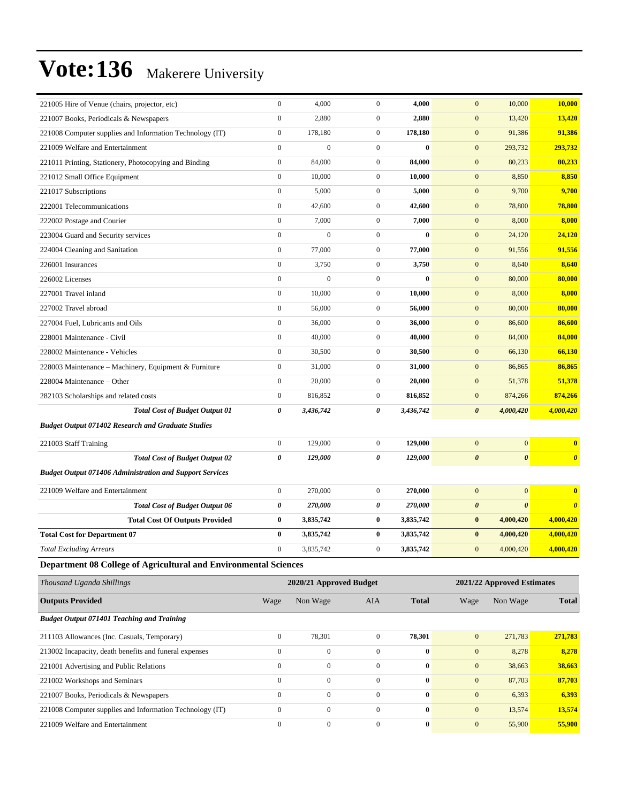| 221005 Hire of Venue (chairs, projector, etc)                    | $\boldsymbol{0}$ | 4,000                   | $\boldsymbol{0}$ | 4,000        | $\mathbf{0}$          | 10,000                     | 10,000                |
|------------------------------------------------------------------|------------------|-------------------------|------------------|--------------|-----------------------|----------------------------|-----------------------|
| 221007 Books, Periodicals & Newspapers                           | $\boldsymbol{0}$ | 2,880                   | $\overline{0}$   | 2,880        | $\mathbf{0}$          | 13,420                     | 13,420                |
| 221008 Computer supplies and Information Technology (IT)         | $\boldsymbol{0}$ | 178,180                 | $\mathbf{0}$     | 178,180      | $\mathbf{0}$          | 91,386                     | 91,386                |
| 221009 Welfare and Entertainment                                 | $\mathbf{0}$     | $\overline{0}$          | $\boldsymbol{0}$ | $\bf{0}$     | $\mathbf{0}$          | 293,732                    | 293,732               |
| 221011 Printing, Stationery, Photocopying and Binding            | $\boldsymbol{0}$ | 84,000                  | $\boldsymbol{0}$ | 84,000       | $\mathbf{0}$          | 80,233                     | 80,233                |
| 221012 Small Office Equipment                                    | $\boldsymbol{0}$ | 10,000                  | $\boldsymbol{0}$ | 10,000       | $\mathbf{0}$          | 8,850                      | 8,850                 |
| 221017 Subscriptions                                             | $\boldsymbol{0}$ | 5,000                   | $\mathbf{0}$     | 5,000        | $\mathbf{0}$          | 9,700                      | 9,700                 |
| 222001 Telecommunications                                        | $\boldsymbol{0}$ | 42,600                  | $\mathbf{0}$     | 42,600       | $\mathbf{0}$          | 78,800                     | 78,800                |
| 222002 Postage and Courier                                       | $\mathbf{0}$     | 7,000                   | $\boldsymbol{0}$ | 7,000        | $\mathbf{0}$          | 8,000                      | 8,000                 |
| 223004 Guard and Security services                               | $\mathbf{0}$     | $\mathbf{0}$            | $\mathbf{0}$     | $\bf{0}$     | $\mathbf{0}$          | 24,120                     | 24,120                |
| 224004 Cleaning and Sanitation                                   | $\boldsymbol{0}$ | 77,000                  | $\mathbf{0}$     | 77,000       | $\mathbf{0}$          | 91,556                     | 91,556                |
| 226001 Insurances                                                | $\boldsymbol{0}$ | 3,750                   | $\mathbf{0}$     | 3,750        | $\mathbf{0}$          | 8,640                      | 8,640                 |
| 226002 Licenses                                                  | $\boldsymbol{0}$ | $\mathbf{0}$            | $\mathbf{0}$     | $\bf{0}$     | $\mathbf{0}$          | 80,000                     | 80,000                |
| 227001 Travel inland                                             | $\mathbf{0}$     | 10,000                  | $\boldsymbol{0}$ | 10,000       | $\mathbf{0}$          | 8,000                      | 8,000                 |
| 227002 Travel abroad                                             | $\boldsymbol{0}$ | 56,000                  | $\boldsymbol{0}$ | 56,000       | $\mathbf{0}$          | 80,000                     | 80,000                |
| 227004 Fuel, Lubricants and Oils                                 | $\boldsymbol{0}$ | 36,000                  | $\boldsymbol{0}$ | 36,000       | $\mathbf{0}$          | 86,600                     | 86,600                |
| 228001 Maintenance - Civil                                       | $\boldsymbol{0}$ | 40,000                  | $\mathbf{0}$     | 40,000       | $\mathbf{0}$          | 84,000                     | 84,000                |
| 228002 Maintenance - Vehicles                                    | $\boldsymbol{0}$ | 30,500                  | $\mathbf{0}$     | 30,500       | $\mathbf{0}$          | 66,130                     | 66,130                |
| 228003 Maintenance – Machinery, Equipment & Furniture            | $\boldsymbol{0}$ | 31,000                  | $\mathbf{0}$     | 31,000       | $\mathbf{0}$          | 86,865                     | 86,865                |
| 228004 Maintenance – Other                                       | $\boldsymbol{0}$ | 20,000                  | $\boldsymbol{0}$ | 20,000       | $\mathbf{0}$          | 51,378                     | 51,378                |
| 282103 Scholarships and related costs                            | $\boldsymbol{0}$ | 816,852                 | $\mathbf{0}$     | 816,852      | $\mathbf{0}$          | 874,266                    | 874,266               |
| <b>Total Cost of Budget Output 01</b>                            | 0                | 3,436,742               | 0                | 3,436,742    | $\boldsymbol{\theta}$ | 4,000,420                  | 4,000,420             |
| <b>Budget Output 071402 Research and Graduate Studies</b>        |                  |                         |                  |              |                       |                            |                       |
| 221003 Staff Training                                            | $\boldsymbol{0}$ | 129,000                 | $\mathbf{0}$     | 129,000      | $\mathbf{0}$          | $\mathbf{0}$               | $\bf{0}$              |
| <b>Total Cost of Budget Output 02</b>                            | 0                | 129,000                 | 0                | 129,000      | $\boldsymbol{\theta}$ | $\boldsymbol{\theta}$      | $\boldsymbol{\theta}$ |
| <b>Budget Output 071406 Administration and Support Services</b>  |                  |                         |                  |              |                       |                            |                       |
| 221009 Welfare and Entertainment                                 | $\boldsymbol{0}$ | 270,000                 | $\mathbf{0}$     | 270,000      | $\mathbf{0}$          | $\mathbf{0}$               | $\bf{0}$              |
| <b>Total Cost of Budget Output 06</b>                            | 0                | 270,000                 | 0                | 270,000      | $\boldsymbol{\theta}$ | $\boldsymbol{\theta}$      | $\boldsymbol{\theta}$ |
| <b>Total Cost Of Outputs Provided</b>                            | $\bf{0}$         | 3,835,742               | $\bf{0}$         | 3,835,742    | $\bf{0}$              | 4,000,420                  | 4,000,420             |
| <b>Total Cost for Department 07</b>                              | $\bf{0}$         | 3,835,742               | 0                | 3,835,742    | $\bf{0}$              | 4,000,420                  | 4,000,420             |
| <b>Total Excluding Arrears</b>                                   | $\Omega$         | 3,835,742               | $\overline{0}$   | 3,835,742    | $\overline{0}$        | 4,000,420                  | 4,000,420             |
| Department 08 College of Agricultural and Environmental Sciences |                  |                         |                  |              |                       |                            |                       |
|                                                                  |                  |                         |                  |              |                       |                            |                       |
| Thousand Uganda Shillings                                        |                  | 2020/21 Approved Budget |                  |              |                       | 2021/22 Approved Estimates |                       |
| <b>Outputs Provided</b>                                          | Wage             | Non Wage                | <b>AIA</b>       | <b>Total</b> | Wage                  | Non Wage                   | <b>Total</b>          |
| <b>Budget Output 071401 Teaching and Training</b>                |                  |                         |                  |              |                       |                            |                       |
| 211103 Allowances (Inc. Casuals, Temporary)                      | $\boldsymbol{0}$ | 78,301                  | $\boldsymbol{0}$ | 78,301       | $\mathbf{0}$          | 271,783                    | 271,783               |
| 213002 Incapacity, death benefits and funeral expenses           | $\boldsymbol{0}$ | $\boldsymbol{0}$        | $\boldsymbol{0}$ | $\bf{0}$     | $\boldsymbol{0}$      | 8,278                      | 8,278                 |
| 221001 Advertising and Public Relations                          | $\mathbf{0}$     | $\boldsymbol{0}$        | $\boldsymbol{0}$ | $\bf{0}$     | $\boldsymbol{0}$      | 38,663                     | 38,663                |
| 221002 Workshops and Seminars                                    | $\boldsymbol{0}$ | $\boldsymbol{0}$        | $\mathbf{0}$     | $\bf{0}$     | $\mathbf{0}$          | 87,703                     | 87,703                |
| 221007 Books, Periodicals & Newspapers                           | $\boldsymbol{0}$ | $\boldsymbol{0}$        | $\boldsymbol{0}$ | $\bf{0}$     | $\boldsymbol{0}$      | 6,393                      | 6,393                 |
| 221008 Computer supplies and Information Technology (IT)         |                  |                         |                  |              |                       |                            |                       |
|                                                                  | $\boldsymbol{0}$ | $\boldsymbol{0}$        | $\boldsymbol{0}$ | $\bf{0}$     | $\boldsymbol{0}$      | 13,574                     | 13,574                |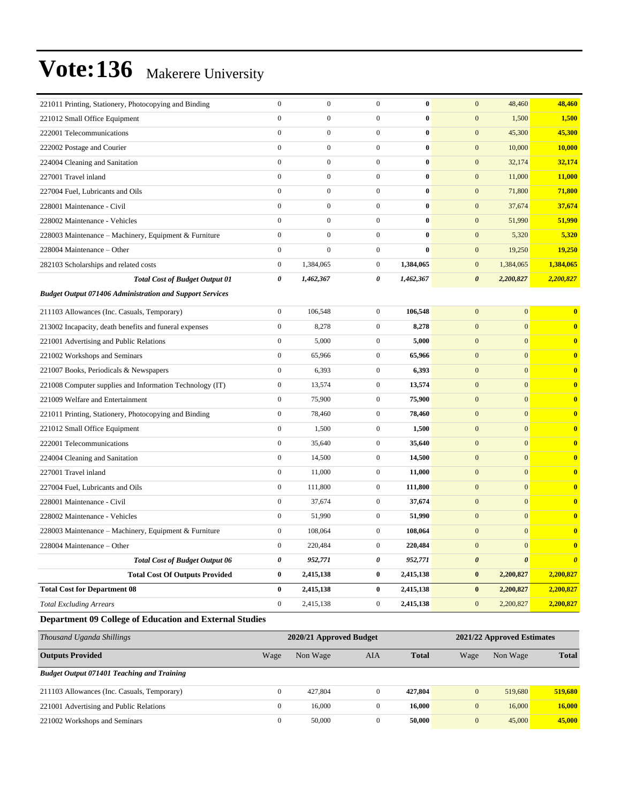| 221011 Printing, Stationery, Photocopying and Binding           | $\boldsymbol{0}$ | $\boldsymbol{0}$ | $\mathbf{0}$     | $\bf{0}$  | $\mathbf{0}$<br>48,460                         | 48,460                  |
|-----------------------------------------------------------------|------------------|------------------|------------------|-----------|------------------------------------------------|-------------------------|
| 221012 Small Office Equipment                                   | $\mathbf{0}$     | $\boldsymbol{0}$ | $\boldsymbol{0}$ | $\bf{0}$  | $\mathbf{0}$<br>1,500                          | 1,500                   |
| 222001 Telecommunications                                       | $\mathbf{0}$     | $\boldsymbol{0}$ | $\boldsymbol{0}$ | $\bf{0}$  | $\mathbf{0}$<br>45,300                         | 45,300                  |
| 222002 Postage and Courier                                      | $\mathbf{0}$     | $\boldsymbol{0}$ | $\overline{0}$   | $\bf{0}$  | $\mathbf{0}$<br>10,000                         | 10,000                  |
| 224004 Cleaning and Sanitation                                  | $\mathbf{0}$     | $\boldsymbol{0}$ | $\boldsymbol{0}$ | $\bf{0}$  | $\mathbf{0}$<br>32,174                         | 32,174                  |
| 227001 Travel inland                                            | $\mathbf{0}$     | $\boldsymbol{0}$ | $\boldsymbol{0}$ | $\bf{0}$  | $\mathbf{0}$<br>11,000                         | 11,000                  |
| 227004 Fuel, Lubricants and Oils                                | $\mathbf{0}$     | $\boldsymbol{0}$ | $\boldsymbol{0}$ | $\bf{0}$  | $\mathbf{0}$<br>71,800                         | 71,800                  |
| 228001 Maintenance - Civil                                      | $\mathbf{0}$     | $\boldsymbol{0}$ | $\boldsymbol{0}$ | $\bf{0}$  | $\boldsymbol{0}$<br>37,674                     | 37,674                  |
| 228002 Maintenance - Vehicles                                   | $\mathbf{0}$     | $\boldsymbol{0}$ | $\boldsymbol{0}$ | $\bf{0}$  | $\mathbf{0}$<br>51,990                         | 51,990                  |
| 228003 Maintenance - Machinery, Equipment & Furniture           | $\mathbf{0}$     | $\boldsymbol{0}$ | $\boldsymbol{0}$ | $\bf{0}$  | $\mathbf{0}$<br>5,320                          | 5,320                   |
| 228004 Maintenance - Other                                      | $\mathbf{0}$     | $\mathbf{0}$     | $\boldsymbol{0}$ | $\bf{0}$  | $\mathbf{0}$<br>19,250                         | 19,250                  |
| 282103 Scholarships and related costs                           | $\boldsymbol{0}$ | 1,384,065        | $\boldsymbol{0}$ | 1,384,065 | 1,384,065<br>$\mathbf{0}$                      | 1,384,065               |
| <b>Total Cost of Budget Output 01</b>                           | 0                | 1,462,367        | 0                | 1,462,367 | 2,200,827<br>$\boldsymbol{\theta}$             | 2,200,827               |
| <b>Budget Output 071406 Administration and Support Services</b> |                  |                  |                  |           |                                                |                         |
| 211103 Allowances (Inc. Casuals, Temporary)                     | $\boldsymbol{0}$ | 106,548          | $\boldsymbol{0}$ | 106,548   | $\mathbf{0}$<br>$\boldsymbol{0}$               | $\bf{0}$                |
| 213002 Incapacity, death benefits and funeral expenses          | $\boldsymbol{0}$ | 8,278            | $\boldsymbol{0}$ | 8,278     | $\mathbf{0}$<br>$\mathbf{0}$                   | $\overline{\mathbf{0}}$ |
| 221001 Advertising and Public Relations                         | $\boldsymbol{0}$ | 5,000            | $\boldsymbol{0}$ | 5,000     | $\mathbf{0}$<br>$\mathbf{0}$                   | $\bf{0}$                |
| 221002 Workshops and Seminars                                   | $\mathbf{0}$     | 65,966           | $\boldsymbol{0}$ | 65,966    | $\mathbf{0}$<br>$\mathbf{0}$                   | $\bf{0}$                |
| 221007 Books, Periodicals & Newspapers                          | $\boldsymbol{0}$ | 6,393            | $\mathbf{0}$     | 6,393     | $\mathbf{0}$<br>$\mathbf{0}$                   | $\bf{0}$                |
| 221008 Computer supplies and Information Technology (IT)        | $\boldsymbol{0}$ | 13,574           | $\boldsymbol{0}$ | 13,574    | $\mathbf{0}$<br>$\mathbf{0}$                   | $\bf{0}$                |
| 221009 Welfare and Entertainment                                | $\boldsymbol{0}$ | 75,900           | $\mathbf{0}$     | 75,900    | $\mathbf{0}$<br>$\mathbf{0}$                   | $\bf{0}$                |
| 221011 Printing, Stationery, Photocopying and Binding           | $\boldsymbol{0}$ | 78,460           | $\boldsymbol{0}$ | 78,460    | $\mathbf{0}$<br>$\mathbf{0}$                   | $\bf{0}$                |
| 221012 Small Office Equipment                                   | $\mathbf{0}$     | 1,500            | $\boldsymbol{0}$ | 1,500     | $\mathbf{0}$<br>$\mathbf{0}$                   | $\bf{0}$                |
| 222001 Telecommunications                                       | $\mathbf{0}$     | 35,640           | $\mathbf{0}$     | 35,640    | $\mathbf{0}$<br>$\mathbf{0}$                   | $\bf{0}$                |
| 224004 Cleaning and Sanitation                                  | $\mathbf{0}$     | 14,500           | $\boldsymbol{0}$ | 14,500    | $\mathbf{0}$<br>$\mathbf{0}$                   | $\bf{0}$                |
| 227001 Travel inland                                            | $\boldsymbol{0}$ | 11,000           | $\mathbf{0}$     | 11,000    | $\mathbf{0}$<br>$\mathbf{0}$                   | $\bf{0}$                |
| 227004 Fuel, Lubricants and Oils                                | $\boldsymbol{0}$ | 111,800          | $\boldsymbol{0}$ | 111,800   | $\mathbf{0}$<br>$\mathbf{0}$                   | $\bf{0}$                |
| 228001 Maintenance - Civil                                      | $\mathbf{0}$     | 37,674           | $\boldsymbol{0}$ | 37,674    | $\mathbf{0}$<br>$\mathbf{0}$                   | $\bf{0}$                |
| 228002 Maintenance - Vehicles                                   | $\mathbf{0}$     | 51,990           | $\mathbf{0}$     | 51,990    | $\mathbf{0}$<br>$\mathbf{0}$                   | $\bf{0}$                |
| 228003 Maintenance - Machinery, Equipment & Furniture           | $\mathbf{0}$     | 108,064          | $\boldsymbol{0}$ | 108,064   | $\mathbf{0}$<br>$\mathbf{0}$                   | $\bf{0}$                |
| 228004 Maintenance – Other                                      | $\Omega$         | 220,484          | $\Omega$         | 220,484   | $\mathbf{0}$<br>$\Omega$                       | $\bf{0}$                |
| <b>Total Cost of Budget Output 06</b>                           | $\pmb{\theta}$   | 952,771          | 0                | 952,771   | $\boldsymbol{\theta}$<br>$\boldsymbol{\theta}$ | $\boldsymbol{\theta}$   |
| <b>Total Cost Of Outputs Provided</b>                           | $\bf{0}$         | 2,415,138        | 0                | 2,415,138 | 2,200,827<br>$\bf{0}$                          | 2,200,827               |
| <b>Total Cost for Department 08</b>                             | $\bf{0}$         | 2,415,138        | $\bf{0}$         | 2,415,138 | $\bf{0}$<br>2,200,827                          | 2,200,827               |
| <b>Total Excluding Arrears</b>                                  | $\boldsymbol{0}$ | 2,415,138        | $\boldsymbol{0}$ | 2,415,138 | $\mathbf{0}$<br>2,200,827                      | 2,200,827               |
| Department 09 College of Education and External Studies         |                  |                  |                  |           |                                                |                         |

| Thousand Uganda Shillings                         | 2020/21 Approved Budget |          |     |              |                | 2021/22 Approved Estimates |              |  |  |
|---------------------------------------------------|-------------------------|----------|-----|--------------|----------------|----------------------------|--------------|--|--|
| <b>Outputs Provided</b>                           | Wage                    | Non Wage | AIA | <b>Total</b> | Wage           | Non Wage                   | <b>Total</b> |  |  |
| <b>Budget Output 071401 Teaching and Training</b> |                         |          |     |              |                |                            |              |  |  |
| 211103 Allowances (Inc. Casuals, Temporary)       | $\Omega$                | 427.804  | 0   | 427,804      | $\mathbf{0}$   | 519,680                    | 519,680      |  |  |
| 221001 Advertising and Public Relations           | 0                       | 16,000   |     | 16.000       | $\overline{0}$ | 16,000                     | 16,000       |  |  |
| 221002 Workshops and Seminars                     | $\Omega$                | 50,000   | 0   | 50,000       | $\mathbf{0}$   | 45,000                     | 45,000       |  |  |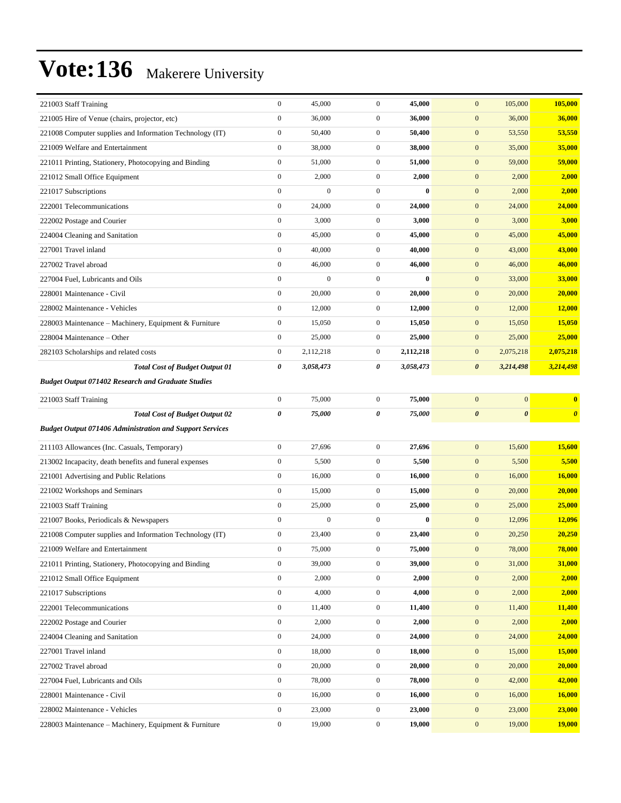| 221003 Staff Training                                           | $\boldsymbol{0}$ | 45,000           | $\boldsymbol{0}$ | 45,000    | $\mathbf{0}$<br>105,000                        | 105,000               |
|-----------------------------------------------------------------|------------------|------------------|------------------|-----------|------------------------------------------------|-----------------------|
| 221005 Hire of Venue (chairs, projector, etc)                   | $\boldsymbol{0}$ | 36,000           | $\boldsymbol{0}$ | 36,000    | $\boldsymbol{0}$<br>36,000                     | 36,000                |
| 221008 Computer supplies and Information Technology (IT)        | $\boldsymbol{0}$ | 50,400           | $\mathbf{0}$     | 50,400    | $\boldsymbol{0}$<br>53,550                     | 53,550                |
| 221009 Welfare and Entertainment                                | $\boldsymbol{0}$ | 38,000           | $\boldsymbol{0}$ | 38,000    | $\boldsymbol{0}$<br>35,000                     | 35,000                |
| 221011 Printing, Stationery, Photocopying and Binding           | $\boldsymbol{0}$ | 51,000           | $\mathbf{0}$     | 51,000    | $\boldsymbol{0}$<br>59,000                     | 59,000                |
| 221012 Small Office Equipment                                   | $\boldsymbol{0}$ | 2,000            | $\boldsymbol{0}$ | 2,000     | $\mathbf{0}$<br>2,000                          | 2,000                 |
| 221017 Subscriptions                                            | $\boldsymbol{0}$ | $\boldsymbol{0}$ | $\mathbf{0}$     | $\bf{0}$  | $\boldsymbol{0}$<br>2,000                      | 2,000                 |
| 222001 Telecommunications                                       | $\boldsymbol{0}$ | 24,000           | $\boldsymbol{0}$ | 24,000    | $\boldsymbol{0}$<br>24,000                     | 24,000                |
| 222002 Postage and Courier                                      | $\boldsymbol{0}$ | 3,000            | $\boldsymbol{0}$ | 3,000     | $\boldsymbol{0}$<br>3,000                      | 3,000                 |
| 224004 Cleaning and Sanitation                                  | $\boldsymbol{0}$ | 45,000           | $\mathbf{0}$     | 45,000    | $\boldsymbol{0}$<br>45,000                     | 45,000                |
| 227001 Travel inland                                            | $\boldsymbol{0}$ | 40,000           | $\boldsymbol{0}$ | 40,000    | $\mathbf{0}$<br>43,000                         | 43,000                |
| 227002 Travel abroad                                            | $\boldsymbol{0}$ | 46,000           | $\boldsymbol{0}$ | 46,000    | $\boldsymbol{0}$<br>46,000                     | 46,000                |
| 227004 Fuel, Lubricants and Oils                                | $\boldsymbol{0}$ | $\boldsymbol{0}$ | $\mathbf{0}$     | $\bf{0}$  | $\boldsymbol{0}$<br>33,000                     | 33,000                |
| 228001 Maintenance - Civil                                      | $\boldsymbol{0}$ | 20,000           | $\boldsymbol{0}$ | 20,000    | $\boldsymbol{0}$<br>20,000                     | <b>20,000</b>         |
| 228002 Maintenance - Vehicles                                   | $\boldsymbol{0}$ | 12,000           | $\mathbf{0}$     | 12,000    | $\boldsymbol{0}$<br>12,000                     | 12,000                |
| 228003 Maintenance - Machinery, Equipment & Furniture           | $\boldsymbol{0}$ | 15,050           | $\boldsymbol{0}$ | 15,050    | $\mathbf{0}$<br>15,050                         | 15,050                |
| 228004 Maintenance – Other                                      | $\boldsymbol{0}$ | 25,000           | $\boldsymbol{0}$ | 25,000    | $\boldsymbol{0}$<br>25,000                     | 25,000                |
| 282103 Scholarships and related costs                           | $\boldsymbol{0}$ | 2,112,218        | $\mathbf{0}$     | 2,112,218 | $\boldsymbol{0}$<br>2,075,218                  | 2,075,218             |
| <b>Total Cost of Budget Output 01</b>                           | 0                | 3,058,473        | 0                | 3,058,473 | $\boldsymbol{\theta}$<br>3,214,498             | 3,214,498             |
| <b>Budget Output 071402 Research and Graduate Studies</b>       |                  |                  |                  |           |                                                |                       |
| 221003 Staff Training                                           | $\boldsymbol{0}$ | 75,000           | $\boldsymbol{0}$ | 75,000    | $\mathbf{0}$<br>$\mathbf{0}$                   | $\bf{0}$              |
| <b>Total Cost of Budget Output 02</b>                           | $\pmb{\theta}$   | 75,000           | 0                | 75,000    | $\boldsymbol{\theta}$<br>$\boldsymbol{\theta}$ | $\boldsymbol{\theta}$ |
| <b>Budget Output 071406 Administration and Support Services</b> |                  |                  |                  |           |                                                |                       |
| 211103 Allowances (Inc. Casuals, Temporary)                     | $\boldsymbol{0}$ |                  |                  |           |                                                |                       |
|                                                                 |                  | 27,696           | $\boldsymbol{0}$ | 27,696    | $\boldsymbol{0}$<br>15,600                     | 15,600                |
| 213002 Incapacity, death benefits and funeral expenses          | $\boldsymbol{0}$ | 5,500            | $\mathbf{0}$     | 5,500     | $\boldsymbol{0}$<br>5,500                      | 5,500                 |
| 221001 Advertising and Public Relations                         | $\boldsymbol{0}$ | 16,000           | $\boldsymbol{0}$ | 16,000    | $\boldsymbol{0}$<br>16,000                     | <b>16,000</b>         |
| 221002 Workshops and Seminars                                   | $\boldsymbol{0}$ | 15,000           | $\mathbf{0}$     | 15,000    | $\boldsymbol{0}$<br>20,000                     | 20,000                |
| 221003 Staff Training                                           | $\boldsymbol{0}$ | 25,000           | $\boldsymbol{0}$ | 25,000    | $\mathbf{0}$<br>25,000                         | 25,000                |
| 221007 Books, Periodicals & Newspapers                          | $\boldsymbol{0}$ | $\boldsymbol{0}$ | $\mathbf{0}$     | $\bf{0}$  | $\boldsymbol{0}$<br>12,096                     | 12,096                |
| 221008 Computer supplies and Information Technology (IT)        | $\boldsymbol{0}$ | 23,400           | $\mathbf{0}$     | 23,400    | $\mathbf{0}$<br>20,250                         | 20,250                |
| 221009 Welfare and Entertainment                                | $\boldsymbol{0}$ | 75,000           | $\boldsymbol{0}$ | 75,000    | 78,000<br>$\mathbf{0}$                         | 78,000                |
| 221011 Printing, Stationery, Photocopying and Binding           | $\boldsymbol{0}$ | 39,000           | $\boldsymbol{0}$ | 39,000    | $\boldsymbol{0}$<br>31,000                     | 31,000                |
| 221012 Small Office Equipment                                   | $\boldsymbol{0}$ | 2,000            | $\boldsymbol{0}$ | 2,000     | $\boldsymbol{0}$<br>2,000                      | 2,000                 |
| 221017 Subscriptions                                            | $\boldsymbol{0}$ | 4,000            | $\boldsymbol{0}$ | 4,000     | 2,000<br>$\boldsymbol{0}$                      | 2,000                 |
| 222001 Telecommunications                                       | $\boldsymbol{0}$ | 11,400           | $\mathbf{0}$     | 11,400    | $\boldsymbol{0}$<br>11,400                     | 11,400                |
| 222002 Postage and Courier                                      | $\boldsymbol{0}$ | 2,000            | $\boldsymbol{0}$ | 2,000     | $\boldsymbol{0}$<br>2,000                      | 2,000                 |
| 224004 Cleaning and Sanitation                                  | $\boldsymbol{0}$ | 24,000           | $\boldsymbol{0}$ | 24,000    | $\boldsymbol{0}$<br>24,000                     | 24,000                |
| 227001 Travel inland                                            | $\boldsymbol{0}$ | 18,000           | $\boldsymbol{0}$ | 18,000    | $\boldsymbol{0}$<br>15,000                     | 15,000                |
| 227002 Travel abroad                                            | $\boldsymbol{0}$ | 20,000           | $\boldsymbol{0}$ | 20,000    | $\boldsymbol{0}$<br>20,000                     | 20,000                |
| 227004 Fuel, Lubricants and Oils                                | $\boldsymbol{0}$ | 78,000           | $\boldsymbol{0}$ | 78,000    | $\boldsymbol{0}$<br>42,000                     | 42,000                |
| 228001 Maintenance - Civil                                      | $\boldsymbol{0}$ | 16,000           | $\boldsymbol{0}$ | 16,000    | $\boldsymbol{0}$<br>16,000                     | <b>16,000</b>         |
| 228002 Maintenance - Vehicles                                   | $\boldsymbol{0}$ | 23,000           | $\boldsymbol{0}$ | 23,000    | $\boldsymbol{0}$<br>23,000                     | 23,000                |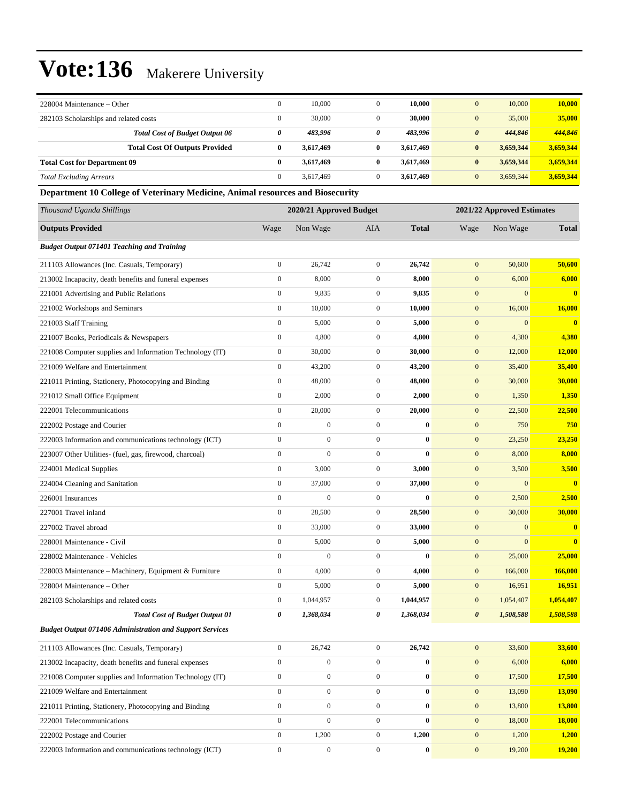| 228004 Maintenance – Other                                                     | $\boldsymbol{0}$ | 10,000                  | $\mathbf{0}$     | 10,000           | $\mathbf{0}$     | 10,000                     | 10,000        |
|--------------------------------------------------------------------------------|------------------|-------------------------|------------------|------------------|------------------|----------------------------|---------------|
| 282103 Scholarships and related costs                                          | $\boldsymbol{0}$ | 30,000                  | $\mathbf{0}$     | 30,000           | $\boldsymbol{0}$ | 35,000                     | 35,000        |
| <b>Total Cost of Budget Output 06</b>                                          | 0                | 483,996                 | 0                | 483,996          | $\pmb{\theta}$   | 444,846                    | 444,846       |
| <b>Total Cost Of Outputs Provided</b>                                          | $\bf{0}$         | 3,617,469               | $\bf{0}$         | 3,617,469        | $\bf{0}$         | 3,659,344                  | 3,659,344     |
| <b>Total Cost for Department 09</b>                                            | $\bf{0}$         | 3,617,469               | $\bf{0}$         | 3,617,469        | $\bf{0}$         | 3,659,344                  | 3,659,344     |
| <b>Total Excluding Arrears</b>                                                 | $\boldsymbol{0}$ | 3,617,469               | $\overline{0}$   | 3,617,469        | $\mathbf{0}$     | 3,659,344                  | 3,659,344     |
| Department 10 College of Veterinary Medicine, Animal resources and Biosecurity |                  |                         |                  |                  |                  |                            |               |
| Thousand Uganda Shillings                                                      |                  | 2020/21 Approved Budget |                  |                  |                  | 2021/22 Approved Estimates |               |
| <b>Outputs Provided</b>                                                        | Wage             | Non Wage                | AIA              | <b>Total</b>     | Wage             | Non Wage                   | <b>Total</b>  |
| <b>Budget Output 071401 Teaching and Training</b>                              |                  |                         |                  |                  |                  |                            |               |
| 211103 Allowances (Inc. Casuals, Temporary)                                    | $\boldsymbol{0}$ | 26,742                  | $\boldsymbol{0}$ | 26,742           | $\mathbf{0}$     | 50,600                     | 50,600        |
| 213002 Incapacity, death benefits and funeral expenses                         | $\boldsymbol{0}$ | 8,000                   | $\boldsymbol{0}$ | 8,000            | $\boldsymbol{0}$ | 6,000                      | 6,000         |
| 221001 Advertising and Public Relations                                        | $\boldsymbol{0}$ | 9,835                   | $\boldsymbol{0}$ | 9,835            | $\boldsymbol{0}$ | $\mathbf{0}$               | $\bf{0}$      |
| 221002 Workshops and Seminars                                                  | $\boldsymbol{0}$ | 10,000                  | $\boldsymbol{0}$ | 10,000           | $\boldsymbol{0}$ | 16,000                     | 16,000        |
| 221003 Staff Training                                                          | $\boldsymbol{0}$ | 5,000                   | $\mathbf{0}$     | 5,000            | $\boldsymbol{0}$ | $\mathbf{0}$               | $\mathbf{0}$  |
| 221007 Books, Periodicals & Newspapers                                         | $\boldsymbol{0}$ | 4,800                   | $\boldsymbol{0}$ | 4,800            | $\boldsymbol{0}$ | 4,380                      | 4,380         |
| 221008 Computer supplies and Information Technology (IT)                       | $\boldsymbol{0}$ | 30,000                  | $\boldsymbol{0}$ | 30,000           | $\boldsymbol{0}$ | 12,000                     | 12,000        |
| 221009 Welfare and Entertainment                                               | $\boldsymbol{0}$ | 43,200                  | $\mathbf{0}$     | 43,200           | $\boldsymbol{0}$ | 35,400                     | 35,400        |
| 221011 Printing, Stationery, Photocopying and Binding                          | $\boldsymbol{0}$ | 48,000                  | $\boldsymbol{0}$ | 48,000           | $\boldsymbol{0}$ | 30,000                     | 30,000        |
| 221012 Small Office Equipment                                                  | $\boldsymbol{0}$ | 2,000                   | $\mathbf{0}$     | 2,000            | $\boldsymbol{0}$ | 1,350                      | 1,350         |
| 222001 Telecommunications                                                      | $\boldsymbol{0}$ | 20,000                  | $\boldsymbol{0}$ | 20,000           | $\mathbf{0}$     | 22,500                     | 22,500        |
| 222002 Postage and Courier                                                     | $\mathbf{0}$     | $\boldsymbol{0}$        | $\mathbf{0}$     | $\bf{0}$         | $\boldsymbol{0}$ | 750                        | 750           |
| 222003 Information and communications technology (ICT)                         | $\boldsymbol{0}$ | $\boldsymbol{0}$        | $\boldsymbol{0}$ | $\bf{0}$         | $\boldsymbol{0}$ | 23,250                     | 23,250        |
| 223007 Other Utilities- (fuel, gas, firewood, charcoal)                        | $\boldsymbol{0}$ | $\overline{0}$          | $\boldsymbol{0}$ | $\bf{0}$         | $\boldsymbol{0}$ | 8,000                      | 8,000         |
| 224001 Medical Supplies                                                        | $\boldsymbol{0}$ | 3,000                   | $\boldsymbol{0}$ | 3,000            | $\boldsymbol{0}$ | 3,500                      | 3,500         |
| 224004 Cleaning and Sanitation                                                 | $\boldsymbol{0}$ | 37,000                  | $\boldsymbol{0}$ | 37,000           | $\mathbf{0}$     | $\mathbf{0}$               | $\mathbf{0}$  |
| 226001 Insurances                                                              | $\boldsymbol{0}$ | $\boldsymbol{0}$        | $\boldsymbol{0}$ | $\bf{0}$         | $\boldsymbol{0}$ | 2,500                      | 2,500         |
| 227001 Travel inland                                                           | $\boldsymbol{0}$ | 28,500                  | $\boldsymbol{0}$ | 28,500           | $\boldsymbol{0}$ | 30,000                     | 30,000        |
| 227002 Travel abroad                                                           | $\boldsymbol{0}$ | 33,000                  | $\boldsymbol{0}$ | 33,000           | $\boldsymbol{0}$ | $\mathbf{0}$               | $\bf{0}$      |
| 228001 Maintenance - Civil                                                     | $\boldsymbol{0}$ | 5,000                   | $\mathbf{0}$     | 5,000            | $\mathbf{0}$     | $\boldsymbol{0}$           | $\bf{0}$      |
| 228002 Maintenance - Vehicles                                                  | $\boldsymbol{0}$ | $\boldsymbol{0}$        | $\boldsymbol{0}$ | $\boldsymbol{0}$ | $\mathbf{0}$     | 25,000                     | 25,000        |
| 228003 Maintenance – Machinery, Equipment & Furniture                          | $\boldsymbol{0}$ | 4,000                   | $\boldsymbol{0}$ | 4,000            | $\boldsymbol{0}$ | 166,000                    | 166,000       |
| 228004 Maintenance - Other                                                     | $\boldsymbol{0}$ | 5,000                   | $\boldsymbol{0}$ | 5,000            | $\boldsymbol{0}$ | 16,951                     | 16,951        |
| 282103 Scholarships and related costs                                          | $\boldsymbol{0}$ | 1,044,957               | $\boldsymbol{0}$ | 1,044,957        | $\boldsymbol{0}$ | 1,054,407                  | 1,054,407     |
| <b>Total Cost of Budget Output 01</b>                                          | 0                | 1,368,034               | 0                | 1,368,034        | $\pmb{\theta}$   | 1,508,588                  | 1,508,588     |
| <b>Budget Output 071406 Administration and Support Services</b>                |                  |                         |                  |                  |                  |                            |               |
| 211103 Allowances (Inc. Casuals, Temporary)                                    | $\boldsymbol{0}$ | 26,742                  | $\overline{0}$   | 26,742           | $\boldsymbol{0}$ | 33,600                     | 33,600        |
| 213002 Incapacity, death benefits and funeral expenses                         | $\boldsymbol{0}$ | $\boldsymbol{0}$        | $\boldsymbol{0}$ | $\boldsymbol{0}$ | $\boldsymbol{0}$ | 6,000                      | 6,000         |
| 221008 Computer supplies and Information Technology (IT)                       | $\boldsymbol{0}$ | $\boldsymbol{0}$        | $\boldsymbol{0}$ | $\bf{0}$         | $\mathbf{0}$     | 17,500                     | 17,500        |
| 221009 Welfare and Entertainment                                               | $\boldsymbol{0}$ | $\boldsymbol{0}$        | $\boldsymbol{0}$ | $\bf{0}$         | $\boldsymbol{0}$ | 13,090                     | 13,090        |
| 221011 Printing, Stationery, Photocopying and Binding                          | $\boldsymbol{0}$ | $\boldsymbol{0}$        | $\boldsymbol{0}$ | 0                | $\mathbf{0}$     | 13,800                     | <b>13,800</b> |
| 222001 Telecommunications                                                      | $\boldsymbol{0}$ | $\boldsymbol{0}$        | $\mathbf{0}$     | $\bf{0}$         | $\boldsymbol{0}$ | 18,000                     | <b>18,000</b> |
| 222002 Postage and Courier                                                     | $\boldsymbol{0}$ | 1,200                   | $\boldsymbol{0}$ | 1,200            | $\boldsymbol{0}$ | 1,200                      | <b>1,200</b>  |
| 222003 Information and communications technology (ICT)                         | $\boldsymbol{0}$ | $\boldsymbol{0}$        | $\boldsymbol{0}$ | $\boldsymbol{0}$ | $\boldsymbol{0}$ | 19,200                     | 19,200        |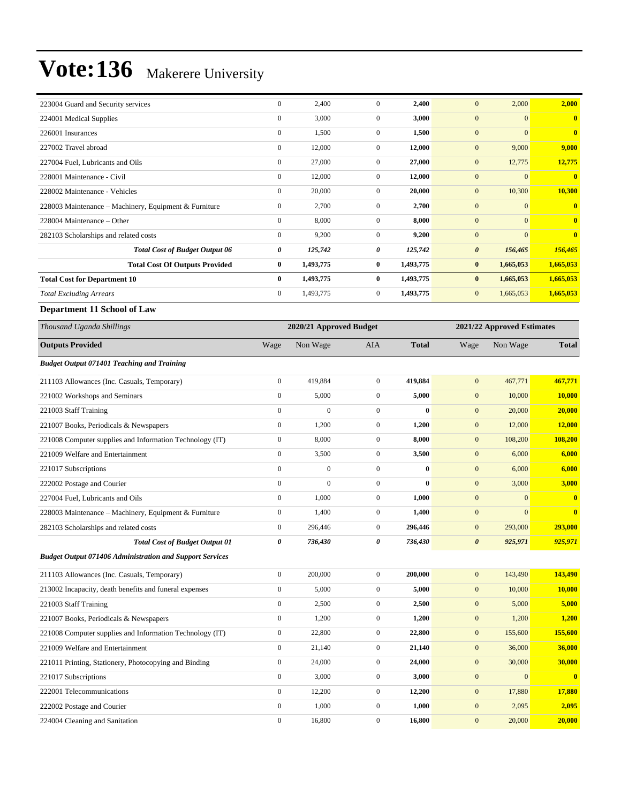| 223004 Guard and Security services                              | $\boldsymbol{0}$ | 2,400                   | $\boldsymbol{0}$ | 2,400        | $\mathbf{0}$          | 2,000                      | 2,000                   |
|-----------------------------------------------------------------|------------------|-------------------------|------------------|--------------|-----------------------|----------------------------|-------------------------|
| 224001 Medical Supplies                                         | $\boldsymbol{0}$ | 3,000                   | $\boldsymbol{0}$ | 3,000        | $\mathbf{0}$          | $\mathbf{0}$               | $\bf{0}$                |
| 226001 Insurances                                               | $\boldsymbol{0}$ | 1,500                   | $\boldsymbol{0}$ | 1,500        | $\mathbf{0}$          | $\overline{0}$             | $\bf{0}$                |
| 227002 Travel abroad                                            | $\boldsymbol{0}$ | 12,000                  | $\boldsymbol{0}$ | 12,000       | $\boldsymbol{0}$      | 9,000                      | 9,000                   |
| 227004 Fuel, Lubricants and Oils                                | $\boldsymbol{0}$ | 27,000                  | $\boldsymbol{0}$ | 27,000       | $\mathbf{0}$          | 12,775                     | 12,775                  |
| 228001 Maintenance - Civil                                      | $\boldsymbol{0}$ | 12,000                  | $\boldsymbol{0}$ | 12,000       | $\mathbf{0}$          | $\boldsymbol{0}$           | $\bf{0}$                |
| 228002 Maintenance - Vehicles                                   | $\boldsymbol{0}$ | 20,000                  | $\boldsymbol{0}$ | 20,000       | $\mathbf{0}$          | 10,300                     | 10,300                  |
| 228003 Maintenance - Machinery, Equipment & Furniture           | $\boldsymbol{0}$ | 2,700                   | $\boldsymbol{0}$ | 2,700        | $\mathbf{0}$          | $\mathbf{0}$               | $\bf{0}$                |
| 228004 Maintenance – Other                                      | $\boldsymbol{0}$ | 8,000                   | $\boldsymbol{0}$ | 8,000        | $\mathbf{0}$          | $\mathbf{0}$               | $\bf{0}$                |
| 282103 Scholarships and related costs                           | $\boldsymbol{0}$ | 9,200                   | $\boldsymbol{0}$ | 9,200        | $\mathbf{0}$          | $\overline{0}$             | $\bf{0}$                |
| <b>Total Cost of Budget Output 06</b>                           | 0                | 125,742                 | 0                | 125,742      | $\boldsymbol{\theta}$ | 156,465                    | 156,465                 |
| <b>Total Cost Of Outputs Provided</b>                           | $\bf{0}$         | 1,493,775               | 0                | 1,493,775    | $\bf{0}$              | 1,665,053                  | 1,665,053               |
| <b>Total Cost for Department 10</b>                             | $\bf{0}$         | 1,493,775               | $\bf{0}$         | 1,493,775    | $\bf{0}$              | 1,665,053                  | 1,665,053               |
| <b>Total Excluding Arrears</b>                                  | $\boldsymbol{0}$ | 1,493,775               | $\boldsymbol{0}$ | 1,493,775    | $\mathbf{0}$          | 1,665,053                  | 1,665,053               |
| Department 11 School of Law                                     |                  |                         |                  |              |                       |                            |                         |
| Thousand Uganda Shillings                                       |                  | 2020/21 Approved Budget |                  |              |                       | 2021/22 Approved Estimates |                         |
| <b>Outputs Provided</b>                                         | Wage             | Non Wage                | AIA              | <b>Total</b> | Wage                  | Non Wage                   | <b>Total</b>            |
| <b>Budget Output 071401 Teaching and Training</b>               |                  |                         |                  |              |                       |                            |                         |
| 211103 Allowances (Inc. Casuals, Temporary)                     | $\boldsymbol{0}$ | 419,884                 | $\boldsymbol{0}$ | 419.884      | $\mathbf{0}$          | 467,771                    | 467,771                 |
| 221002 Workshops and Seminars                                   | $\boldsymbol{0}$ | 5,000                   | $\boldsymbol{0}$ | 5,000        | $\mathbf{0}$          | 10,000                     | <b>10,000</b>           |
| 221003 Staff Training                                           | $\boldsymbol{0}$ | $\boldsymbol{0}$        | $\boldsymbol{0}$ | $\bf{0}$     | $\mathbf{0}$          | 20,000                     | 20,000                  |
| 221007 Books, Periodicals & Newspapers                          | $\boldsymbol{0}$ | 1,200                   | $\boldsymbol{0}$ | 1,200        | $\mathbf{0}$          | 12,000                     | <b>12,000</b>           |
| 221008 Computer supplies and Information Technology (IT)        | $\boldsymbol{0}$ | 8,000                   | $\boldsymbol{0}$ | 8,000        | $\mathbf{0}$          | 108,200                    | 108,200                 |
| 221009 Welfare and Entertainment                                | $\boldsymbol{0}$ | 3,500                   | $\boldsymbol{0}$ | 3,500        | $\mathbf{0}$          | 6,000                      | 6,000                   |
| 221017 Subscriptions                                            | $\boldsymbol{0}$ | $\boldsymbol{0}$        | $\boldsymbol{0}$ | $\bf{0}$     | $\mathbf{0}$          | 6,000                      | 6,000                   |
| 222002 Postage and Courier                                      | $\boldsymbol{0}$ | $\overline{0}$          | $\boldsymbol{0}$ | $\bf{0}$     | $\mathbf{0}$          | 3,000                      | 3,000                   |
| 227004 Fuel, Lubricants and Oils                                | $\boldsymbol{0}$ | 1,000                   | $\boldsymbol{0}$ | 1,000        | $\mathbf{0}$          | $\boldsymbol{0}$           | $\bf{0}$                |
| 228003 Maintenance - Machinery, Equipment & Furniture           | $\boldsymbol{0}$ | 1,400                   | $\boldsymbol{0}$ | 1,400        | $\mathbf{0}$          | $\boldsymbol{0}$           | $\bf{0}$                |
| 282103 Scholarships and related costs                           | $\boldsymbol{0}$ | 296,446                 | $\boldsymbol{0}$ | 296,446      | $\mathbf{0}$          | 293,000                    | 293,000                 |
| <b>Total Cost of Budget Output 01</b>                           | 0                | 736,430                 | 0                | 736,430      | $\boldsymbol{\theta}$ | 925,971                    | 925,971                 |
| <b>Budget Output 071406 Administration and Support Services</b> |                  |                         |                  |              |                       |                            |                         |
| 211103 Allowances (Inc. Casuals, Temporary)                     | $\boldsymbol{0}$ | 200,000                 | $\overline{0}$   | 200,000      | $\boldsymbol{0}$      | 143,490                    | 143,490                 |
| 213002 Incapacity, death benefits and funeral expenses          | $\boldsymbol{0}$ | 5,000                   | $\boldsymbol{0}$ | 5,000        | $\boldsymbol{0}$      | 10,000                     | 10,000                  |
| 221003 Staff Training                                           | $\boldsymbol{0}$ | 2,500                   | $\boldsymbol{0}$ | 2,500        | $\mathbf{0}$          | 5,000                      | 5,000                   |
| 221007 Books, Periodicals & Newspapers                          | $\boldsymbol{0}$ | 1,200                   | $\boldsymbol{0}$ | 1,200        | $\mathbf{0}$          | 1,200                      | 1,200                   |
| 221008 Computer supplies and Information Technology (IT)        | $\boldsymbol{0}$ | 22,800                  | $\boldsymbol{0}$ | 22,800       | $\boldsymbol{0}$      | 155,600                    | 155,600                 |
| 221009 Welfare and Entertainment                                | $\boldsymbol{0}$ | 21,140                  | $\boldsymbol{0}$ | 21,140       | $\mathbf{0}$          | 36,000                     | 36,000                  |
| 221011 Printing, Stationery, Photocopying and Binding           | $\boldsymbol{0}$ | 24,000                  | $\boldsymbol{0}$ | 24,000       | $\boldsymbol{0}$      | 30,000                     | 30,000                  |
| 221017 Subscriptions                                            | $\mathbf{0}$     | 3,000                   | $\boldsymbol{0}$ | 3,000        | $\mathbf{0}$          | $\mathbf{0}$               | $\overline{\mathbf{0}}$ |
| 222001 Telecommunications                                       | $\boldsymbol{0}$ | 12,200                  | $\boldsymbol{0}$ | 12,200       | $\mathbf{0}$          | 17,880                     | 17,880                  |
| 222002 Postage and Courier                                      | $\boldsymbol{0}$ | 1,000                   | $\mathbf{0}$     | 1,000        | $\mathbf{0}$          | 2,095                      | 2,095                   |

224004 Cleaning and Sanitation 0 16,800 0 **16,800** 0 20,000 **20,000**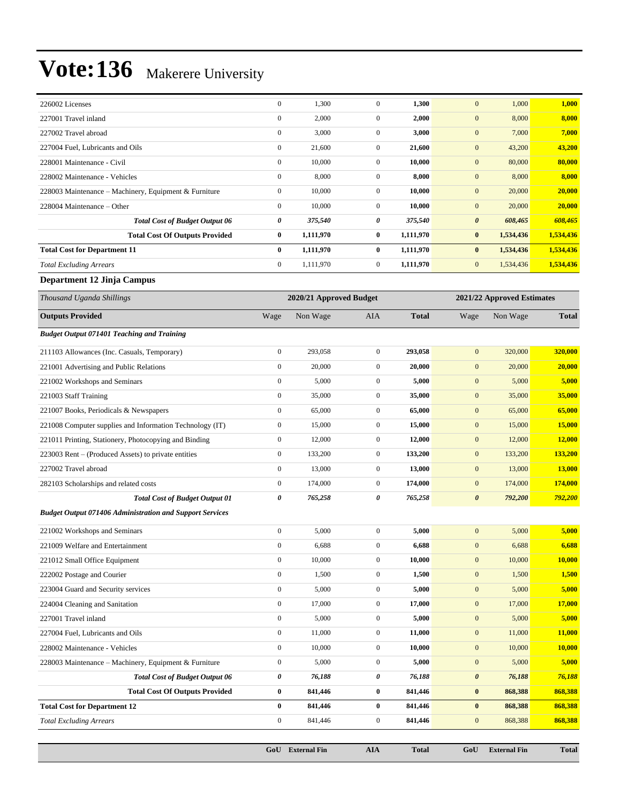| 226002 Licenses                                                 | $\boldsymbol{0}$      | 1,300                   | $\boldsymbol{0}$ | 1,300        | $\boldsymbol{0}$           | 1,000     | 1,000         |
|-----------------------------------------------------------------|-----------------------|-------------------------|------------------|--------------|----------------------------|-----------|---------------|
| 227001 Travel inland                                            | $\mathbf{0}$          | 2,000                   | $\boldsymbol{0}$ | 2,000        | $\boldsymbol{0}$           | 8,000     | 8,000         |
| 227002 Travel abroad                                            | $\mathbf{0}$          | 3,000                   | $\boldsymbol{0}$ | 3,000        | $\mathbf{0}$               | 7,000     | 7,000         |
| 227004 Fuel, Lubricants and Oils                                | $\mathbf{0}$          | 21,600                  | $\boldsymbol{0}$ | 21,600       | $\boldsymbol{0}$           | 43,200    | 43,200        |
| 228001 Maintenance - Civil                                      | $\mathbf{0}$          | 10,000                  | $\boldsymbol{0}$ | 10,000       | $\boldsymbol{0}$           | 80,000    | 80,000        |
| 228002 Maintenance - Vehicles                                   | $\boldsymbol{0}$      | 8,000                   | $\boldsymbol{0}$ | 8,000        | $\boldsymbol{0}$           | 8,000     | 8,000         |
| 228003 Maintenance – Machinery, Equipment & Furniture           | $\mathbf{0}$          | 10,000                  | $\boldsymbol{0}$ | 10,000       | $\boldsymbol{0}$           | 20,000    | 20,000        |
| 228004 Maintenance – Other                                      | $\mathbf{0}$          | 10,000                  | $\boldsymbol{0}$ | 10,000       | $\mathbf{0}$               | 20,000    | 20,000        |
| <b>Total Cost of Budget Output 06</b>                           | $\boldsymbol{\theta}$ | 375,540                 | 0                | 375,540      | $\boldsymbol{\theta}$      | 608,465   | 608,465       |
| <b>Total Cost Of Outputs Provided</b>                           | $\bf{0}$              | 1,111,970               | $\bf{0}$         | 1,111,970    | $\bf{0}$                   | 1,534,436 | 1,534,436     |
| <b>Total Cost for Department 11</b>                             | $\bf{0}$              | 1,111,970               | $\bf{0}$         | 1,111,970    | $\bf{0}$                   | 1,534,436 | 1,534,436     |
| <b>Total Excluding Arrears</b>                                  | $\mathbf{0}$          | 1,111,970               | $\boldsymbol{0}$ | 1,111,970    | $\mathbf{0}$               | 1,534,436 | 1,534,436     |
| Department 12 Jinja Campus                                      |                       |                         |                  |              |                            |           |               |
| Thousand Uganda Shillings                                       |                       | 2020/21 Approved Budget |                  |              | 2021/22 Approved Estimates |           |               |
| <b>Outputs Provided</b>                                         | Wage                  | Non Wage                | AIA              | <b>Total</b> | Wage                       | Non Wage  | <b>Total</b>  |
| <b>Budget Output 071401 Teaching and Training</b>               |                       |                         |                  |              |                            |           |               |
| 211103 Allowances (Inc. Casuals, Temporary)                     | $\mathbf{0}$          | 293,058                 | $\boldsymbol{0}$ | 293,058      | $\mathbf{0}$               | 320,000   | 320,000       |
| 221001 Advertising and Public Relations                         | $\mathbf{0}$          | 20,000                  | $\boldsymbol{0}$ | 20.000       | $\mathbf{0}$               | 20,000    | 20,000        |
| 221002 Workshops and Seminars                                   | $\mathbf{0}$          | 5,000                   | $\boldsymbol{0}$ | 5,000        | $\boldsymbol{0}$           | 5,000     | 5,000         |
| 221003 Staff Training                                           | $\boldsymbol{0}$      | 35,000                  | $\boldsymbol{0}$ | 35,000       | $\boldsymbol{0}$           | 35,000    | 35,000        |
| 221007 Books, Periodicals & Newspapers                          | $\boldsymbol{0}$      | 65,000                  | $\boldsymbol{0}$ | 65,000       | $\boldsymbol{0}$           | 65,000    | 65,000        |
| 221008 Computer supplies and Information Technology (IT)        | $\mathbf{0}$          | 15,000                  | $\boldsymbol{0}$ | 15,000       | $\boldsymbol{0}$           | 15,000    | 15,000        |
| 221011 Printing, Stationery, Photocopying and Binding           | $\boldsymbol{0}$      | 12,000                  | 0                | 12,000       | $\boldsymbol{0}$           | 12,000    | 12,000        |
| 223003 Rent – (Produced Assets) to private entities             | $\mathbf{0}$          | 133,200                 | $\boldsymbol{0}$ | 133,200      | $\boldsymbol{0}$           | 133,200   | 133,200       |
| 227002 Travel abroad                                            | $\boldsymbol{0}$      | 13,000                  | $\boldsymbol{0}$ | 13,000       | $\boldsymbol{0}$           | 13,000    | <b>13,000</b> |
| 282103 Scholarships and related costs                           | $\boldsymbol{0}$      | 174,000                 | $\boldsymbol{0}$ | 174,000      | $\boldsymbol{0}$           | 174,000   | 174,000       |
| <b>Total Cost of Budget Output 01</b>                           | 0                     | 765,258                 | 0                | 765,258      | $\boldsymbol{\theta}$      | 792,200   | 792,200       |
| <b>Budget Output 071406 Administration and Support Services</b> |                       |                         |                  |              |                            |           |               |
| 221002 Workshops and Seminars                                   | $\mathbf{0}$          | 5,000                   | $\boldsymbol{0}$ | 5,000        | $\mathbf{0}$               | 5,000     | 5,000         |
| 221009 Welfare and Entertainment                                | $\boldsymbol{0}$      | 6,688                   | $\boldsymbol{0}$ | 6,688        | $\mathbf{0}$               | 6,688     | 6,688         |
| 221012 Small Office Equipment                                   | $\boldsymbol{0}$      | 10,000                  | $\boldsymbol{0}$ | 10,000       | $\boldsymbol{0}$           | 10,000    | 10,000        |
| 222002 Postage and Courier                                      | $\boldsymbol{0}$      | 1,500                   | $\boldsymbol{0}$ | 1,500        | $\boldsymbol{0}$           | 1,500     | 1,500         |
| 223004 Guard and Security services                              | $\boldsymbol{0}$      | 5,000                   | $\boldsymbol{0}$ | 5,000        | $\boldsymbol{0}$           | 5,000     | 5,000         |
| 224004 Cleaning and Sanitation                                  | $\boldsymbol{0}$      | 17,000                  | $\boldsymbol{0}$ | 17,000       | $\mathbf{0}$               | 17,000    | 17,000        |
| 227001 Travel inland                                            | $\boldsymbol{0}$      | 5,000                   | 0                | 5,000        | $\boldsymbol{0}$           | 5,000     | 5,000         |
| 227004 Fuel, Lubricants and Oils                                | $\boldsymbol{0}$      | 11,000                  | $\boldsymbol{0}$ | 11,000       | $\boldsymbol{0}$           | 11,000    | 11,000        |
| 228002 Maintenance - Vehicles                                   | $\boldsymbol{0}$      | 10,000                  | $\boldsymbol{0}$ | 10,000       | $\boldsymbol{0}$           | 10,000    | 10,000        |
| 228003 Maintenance - Machinery, Equipment & Furniture           | $\boldsymbol{0}$      | 5,000                   | $\boldsymbol{0}$ | 5,000        | $\mathbf{0}$               | 5,000     | 5,000         |
| <b>Total Cost of Budget Output 06</b>                           | $\pmb{\theta}$        | 76,188                  | 0                | 76,188       | $\pmb{\theta}$             | 76,188    | 76,188        |
| <b>Total Cost Of Outputs Provided</b>                           | $\bf{0}$              | 841,446                 | $\bf{0}$         | 841,446      | $\bf{0}$                   | 868,388   | 868,388       |
| <b>Total Cost for Department 12</b>                             | $\bf{0}$              | 841,446                 | 0                | 841,446      | $\bf{0}$                   | 868,388   | 868,388       |
| <b>Total Excluding Arrears</b>                                  | $\boldsymbol{0}$      | 841,446                 | $\boldsymbol{0}$ | 841,446      | $\boldsymbol{0}$           | 868,388   | 868,388       |

**GoU External Fin AIA Total GoU External Fin Total**